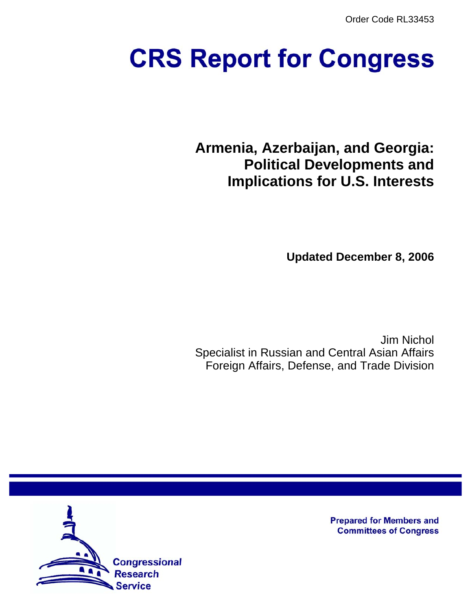Order Code RL33453

# **CRS Report for Congress**

**Armenia, Azerbaijan, and Georgia: Political Developments and Implications for U.S. Interests**

**Updated December 8, 2006**

Jim Nichol Specialist in Russian and Central Asian Affairs Foreign Affairs, Defense, and Trade Division



**Prepared for Members and Committees of Congress**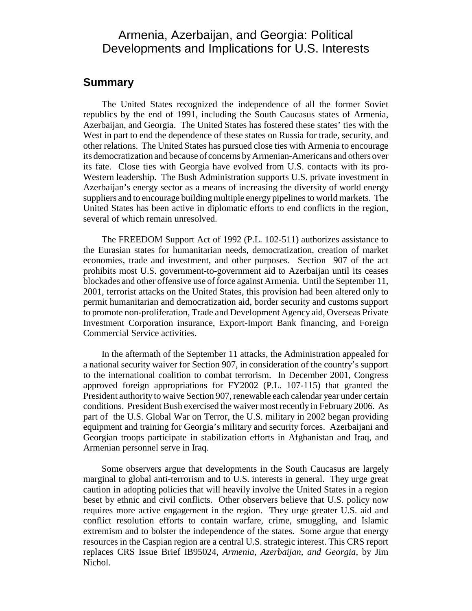## Armenia, Azerbaijan, and Georgia: Political Developments and Implications for U.S. Interests

## **Summary**

The United States recognized the independence of all the former Soviet republics by the end of 1991, including the South Caucasus states of Armenia, Azerbaijan, and Georgia. The United States has fostered these states' ties with the West in part to end the dependence of these states on Russia for trade, security, and other relations. The United States has pursued close ties with Armenia to encourage its democratization and because of concerns by Armenian-Americans and others over its fate. Close ties with Georgia have evolved from U.S. contacts with its pro-Western leadership. The Bush Administration supports U.S. private investment in Azerbaijan's energy sector as a means of increasing the diversity of world energy suppliers and to encourage building multiple energy pipelines to world markets. The United States has been active in diplomatic efforts to end conflicts in the region, several of which remain unresolved.

The FREEDOM Support Act of 1992 (P.L. 102-511) authorizes assistance to the Eurasian states for humanitarian needs, democratization, creation of market economies, trade and investment, and other purposes. Section 907 of the act prohibits most U.S. government-to-government aid to Azerbaijan until its ceases blockades and other offensive use of force against Armenia. Until the September 11, 2001, terrorist attacks on the United States, this provision had been altered only to permit humanitarian and democratization aid, border security and customs support to promote non-proliferation, Trade and Development Agency aid, Overseas Private Investment Corporation insurance, Export-Import Bank financing, and Foreign Commercial Service activities.

In the aftermath of the September 11 attacks, the Administration appealed for a national security waiver for Section 907, in consideration of the country's support to the international coalition to combat terrorism. In December 2001, Congress approved foreign appropriations for FY2002 (P.L. 107-115) that granted the President authority to waive Section 907, renewable each calendar year under certain conditions. President Bush exercised the waiver most recently in February 2006. As part of the U.S. Global War on Terror, the U.S. military in 2002 began providing equipment and training for Georgia's military and security forces. Azerbaijani and Georgian troops participate in stabilization efforts in Afghanistan and Iraq, and Armenian personnel serve in Iraq.

Some observers argue that developments in the South Caucasus are largely marginal to global anti-terrorism and to U.S. interests in general. They urge great caution in adopting policies that will heavily involve the United States in a region beset by ethnic and civil conflicts. Other observers believe that U.S. policy now requires more active engagement in the region. They urge greater U.S. aid and conflict resolution efforts to contain warfare, crime, smuggling, and Islamic extremism and to bolster the independence of the states. Some argue that energy resources in the Caspian region are a central U.S. strategic interest. This CRS report replaces CRS Issue Brief IB95024, *Armenia, Azerbaijan, and Georgia*, by Jim Nichol.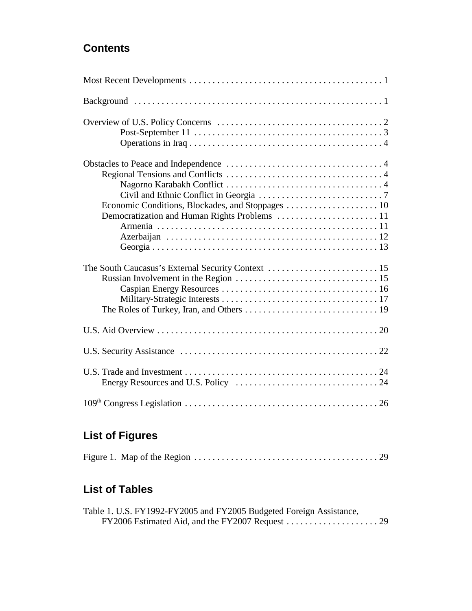## **Contents**

## **List of Figures**

## **List of Tables**

| Table 1. U.S. FY1992-FY2005 and FY2005 Budgeted Foreign Assistance, |  |
|---------------------------------------------------------------------|--|
|                                                                     |  |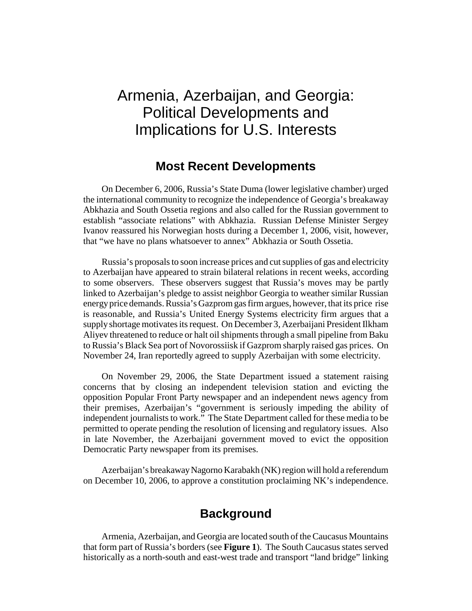# Armenia, Azerbaijan, and Georgia: Political Developments and Implications for U.S. Interests

## **Most Recent Developments**

On December 6, 2006, Russia's State Duma (lower legislative chamber) urged the international community to recognize the independence of Georgia's breakaway Abkhazia and South Ossetia regions and also called for the Russian government to establish "associate relations" with Abkhazia. Russian Defense Minister Sergey Ivanov reassured his Norwegian hosts during a December 1, 2006, visit, however, that "we have no plans whatsoever to annex" Abkhazia or South Ossetia.

Russia's proposals to soon increase prices and cut supplies of gas and electricity to Azerbaijan have appeared to strain bilateral relations in recent weeks, according to some observers. These observers suggest that Russia's moves may be partly linked to Azerbaijan's pledge to assist neighbor Georgia to weather similar Russian energy price demands. Russia's Gazprom gas firm argues, however, that its price rise is reasonable, and Russia's United Energy Systems electricity firm argues that a supply shortage motivates its request. On December 3, Azerbaijani President Ilkham Aliyev threatened to reduce or halt oil shipments through a small pipeline from Baku to Russia's Black Sea port of Novorossiisk if Gazprom sharply raised gas prices. On November 24, Iran reportedly agreed to supply Azerbaijan with some electricity.

On November 29, 2006, the State Department issued a statement raising concerns that by closing an independent television station and evicting the opposition Popular Front Party newspaper and an independent news agency from their premises, Azerbaijan's "government is seriously impeding the ability of independent journalists to work." The State Department called for these media to be permitted to operate pending the resolution of licensing and regulatory issues. Also in late November, the Azerbaijani government moved to evict the opposition Democratic Party newspaper from its premises.

Azerbaijan's breakaway Nagorno Karabakh (NK) region will hold a referendum on December 10, 2006, to approve a constitution proclaiming NK's independence.

## **Background**

Armenia, Azerbaijan, and Georgia are located south of the Caucasus Mountains that form part of Russia's borders (see **Figure 1**). The South Caucasus states served historically as a north-south and east-west trade and transport "land bridge" linking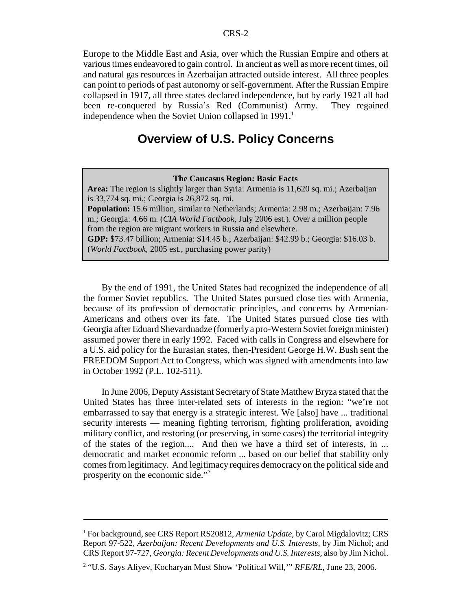Europe to the Middle East and Asia, over which the Russian Empire and others at various times endeavored to gain control. In ancient as well as more recent times, oil and natural gas resources in Azerbaijan attracted outside interest. All three peoples can point to periods of past autonomy or self-government. After the Russian Empire collapsed in 1917, all three states declared independence, but by early 1921 all had been re-conquered by Russia's Red (Communist) Army. They regained independence when the Soviet Union collapsed in  $1991<sup>1</sup>$ 

## **Overview of U.S. Policy Concerns**

#### **The Caucasus Region: Basic Facts Area:** The region is slightly larger than Syria: Armenia is 11,620 sq. mi.; Azerbaijan is 33,774 sq. mi.; Georgia is 26,872 sq. mi. **Population:** 15.6 million, similar to Netherlands; Armenia: 2.98 m.; Azerbaijan: 7.96 m.; Georgia: 4.66 m. (*CIA World Factbook*, July 2006 est.). Over a million people from the region are migrant workers in Russia and elsewhere. **GDP:** \$73.47 billion; Armenia: \$14.45 b.; Azerbaijan: \$42.99 b.; Georgia: \$16.03 b. (*World Factbook*, 2005 est., purchasing power parity)

By the end of 1991, the United States had recognized the independence of all the former Soviet republics. The United States pursued close ties with Armenia, because of its profession of democratic principles, and concerns by Armenian-Americans and others over its fate. The United States pursued close ties with Georgia after Eduard Shevardnadze (formerly a pro-Western Soviet foreign minister) assumed power there in early 1992. Faced with calls in Congress and elsewhere for a U.S. aid policy for the Eurasian states, then-President George H.W. Bush sent the FREEDOM Support Act to Congress, which was signed with amendments into law in October 1992 (P.L. 102-511).

In June 2006, Deputy Assistant Secretary of State Matthew Bryza stated that the United States has three inter-related sets of interests in the region: "we're not embarrassed to say that energy is a strategic interest. We [also] have ... traditional security interests — meaning fighting terrorism, fighting proliferation, avoiding military conflict, and restoring (or preserving, in some cases) the territorial integrity of the states of the region.... And then we have a third set of interests, in ... democratic and market economic reform ... based on our belief that stability only comes from legitimacy. And legitimacy requires democracy on the political side and prosperity on the economic side."2

<sup>&</sup>lt;sup>1</sup> For background, see CRS Report RS20812, Armenia Update, by Carol Migdalovitz; CRS Report 97-522, *Azerbaijan: Recent Developments and U.S. Interests*, by Jim Nichol; and CRS Report 97-727, *Georgia: Recent Developments and U.S. Interests,* also by Jim Nichol.

<sup>&</sup>lt;sup>2</sup> "U.S. Says Aliyev, Kocharyan Must Show 'Political Will,'" *RFE/RL*, June 23, 2006.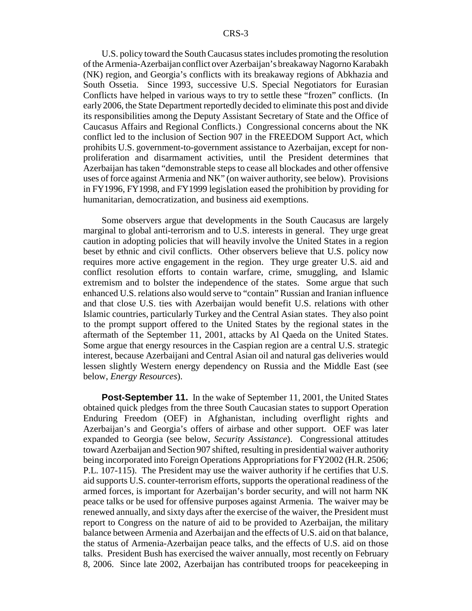U.S. policy toward the South Caucasus states includes promoting the resolution of the Armenia-Azerbaijan conflict over Azerbaijan's breakaway Nagorno Karabakh (NK) region, and Georgia's conflicts with its breakaway regions of Abkhazia and South Ossetia. Since 1993, successive U.S. Special Negotiators for Eurasian Conflicts have helped in various ways to try to settle these "frozen" conflicts. (In early 2006, the State Department reportedly decided to eliminate this post and divide its responsibilities among the Deputy Assistant Secretary of State and the Office of Caucasus Affairs and Regional Conflicts.) Congressional concerns about the NK conflict led to the inclusion of Section 907 in the FREEDOM Support Act, which prohibits U.S. government-to-government assistance to Azerbaijan, except for nonproliferation and disarmament activities, until the President determines that Azerbaijan has taken "demonstrable steps to cease all blockades and other offensive uses of force against Armenia and NK" (on waiver authority, see below). Provisions in FY1996, FY1998, and FY1999 legislation eased the prohibition by providing for humanitarian, democratization, and business aid exemptions.

Some observers argue that developments in the South Caucasus are largely marginal to global anti-terrorism and to U.S. interests in general. They urge great caution in adopting policies that will heavily involve the United States in a region beset by ethnic and civil conflicts. Other observers believe that U.S. policy now requires more active engagement in the region. They urge greater U.S. aid and conflict resolution efforts to contain warfare, crime, smuggling, and Islamic extremism and to bolster the independence of the states. Some argue that such enhanced U.S. relations also would serve to "contain" Russian and Iranian influence and that close U.S. ties with Azerbaijan would benefit U.S. relations with other Islamic countries, particularly Turkey and the Central Asian states. They also point to the prompt support offered to the United States by the regional states in the aftermath of the September 11, 2001, attacks by Al Qaeda on the United States. Some argue that energy resources in the Caspian region are a central U.S. strategic interest, because Azerbaijani and Central Asian oil and natural gas deliveries would lessen slightly Western energy dependency on Russia and the Middle East (see below, *Energy Resources*).

**Post-September 11.** In the wake of September 11, 2001, the United States obtained quick pledges from the three South Caucasian states to support Operation Enduring Freedom (OEF) in Afghanistan, including overflight rights and Azerbaijan's and Georgia's offers of airbase and other support. OEF was later expanded to Georgia (see below, *Security Assistance*). Congressional attitudes toward Azerbaijan and Section 907 shifted, resulting in presidential waiver authority being incorporated into Foreign Operations Appropriations for FY2002 (H.R. 2506; P.L. 107-115). The President may use the waiver authority if he certifies that U.S. aid supports U.S. counter-terrorism efforts, supports the operational readiness of the armed forces, is important for Azerbaijan's border security, and will not harm NK peace talks or be used for offensive purposes against Armenia. The waiver may be renewed annually, and sixty days after the exercise of the waiver, the President must report to Congress on the nature of aid to be provided to Azerbaijan, the military balance between Armenia and Azerbaijan and the effects of U.S. aid on that balance, the status of Armenia-Azerbaijan peace talks, and the effects of U.S. aid on those talks. President Bush has exercised the waiver annually, most recently on February 8, 2006. Since late 2002, Azerbaijan has contributed troops for peacekeeping in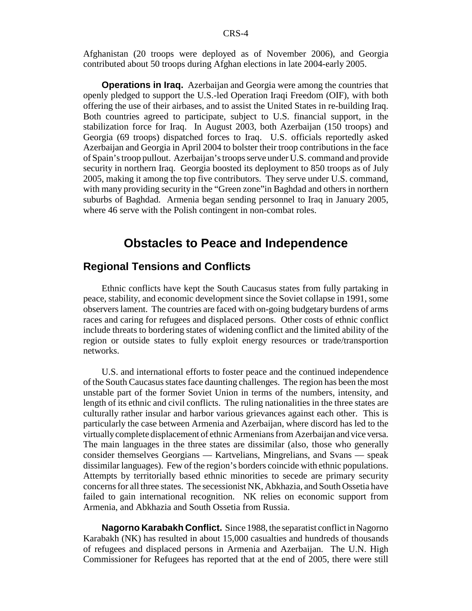Afghanistan (20 troops were deployed as of November 2006), and Georgia contributed about 50 troops during Afghan elections in late 2004-early 2005.

**Operations in Iraq.** Azerbaijan and Georgia were among the countries that openly pledged to support the U.S.-led Operation Iraqi Freedom (OIF), with both offering the use of their airbases, and to assist the United States in re-building Iraq. Both countries agreed to participate, subject to U.S. financial support, in the stabilization force for Iraq. In August 2003, both Azerbaijan (150 troops) and Georgia (69 troops) dispatched forces to Iraq. U.S. officials reportedly asked Azerbaijan and Georgia in April 2004 to bolster their troop contributions in the face of Spain's troop pullout. Azerbaijan's troops serve under U.S. command and provide security in northern Iraq. Georgia boosted its deployment to 850 troops as of July 2005, making it among the top five contributors. They serve under U.S. command, with many providing security in the "Green zone"in Baghdad and others in northern suburbs of Baghdad. Armenia began sending personnel to Iraq in January 2005, where 46 serve with the Polish contingent in non-combat roles.

## **Obstacles to Peace and Independence**

#### **Regional Tensions and Conflicts**

Ethnic conflicts have kept the South Caucasus states from fully partaking in peace, stability, and economic development since the Soviet collapse in 1991, some observers lament. The countries are faced with on-going budgetary burdens of arms races and caring for refugees and displaced persons. Other costs of ethnic conflict include threats to bordering states of widening conflict and the limited ability of the region or outside states to fully exploit energy resources or trade/transportion networks.

U.S. and international efforts to foster peace and the continued independence of the South Caucasus states face daunting challenges. The region has been the most unstable part of the former Soviet Union in terms of the numbers, intensity, and length of its ethnic and civil conflicts. The ruling nationalities in the three states are culturally rather insular and harbor various grievances against each other. This is particularly the case between Armenia and Azerbaijan, where discord has led to the virtually complete displacement of ethnic Armenians from Azerbaijan and vice versa. The main languages in the three states are dissimilar (also, those who generally consider themselves Georgians — Kartvelians, Mingrelians, and Svans — speak dissimilar languages). Few of the region's borders coincide with ethnic populations. Attempts by territorially based ethnic minorities to secede are primary security concerns for all three states. The secessionist NK, Abkhazia, and South Ossetia have failed to gain international recognition. NK relies on economic support from Armenia, and Abkhazia and South Ossetia from Russia.

**Nagorno Karabakh Conflict.** Since 1988, the separatist conflict in Nagorno Karabakh (NK) has resulted in about 15,000 casualties and hundreds of thousands of refugees and displaced persons in Armenia and Azerbaijan. The U.N. High Commissioner for Refugees has reported that at the end of 2005, there were still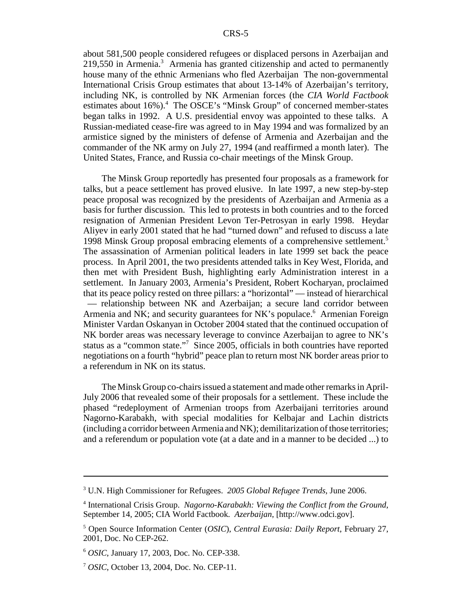about 581,500 people considered refugees or displaced persons in Azerbaijan and 219,550 in Armenia.<sup>3</sup> Armenia has granted citizenship and acted to permanently house many of the ethnic Armenians who fled Azerbaijan The non-governmental International Crisis Group estimates that about 13-14% of Azerbaijan's territory, including NK, is controlled by NK Armenian forces (the *CIA World Factbook* estimates about 16%).<sup>4</sup> The OSCE's "Minsk Group" of concerned member-states began talks in 1992. A U.S. presidential envoy was appointed to these talks. A Russian-mediated cease-fire was agreed to in May 1994 and was formalized by an armistice signed by the ministers of defense of Armenia and Azerbaijan and the commander of the NK army on July 27, 1994 (and reaffirmed a month later). The United States, France, and Russia co-chair meetings of the Minsk Group.

The Minsk Group reportedly has presented four proposals as a framework for talks, but a peace settlement has proved elusive. In late 1997, a new step-by-step peace proposal was recognized by the presidents of Azerbaijan and Armenia as a basis for further discussion. This led to protests in both countries and to the forced resignation of Armenian President Levon Ter-Petrosyan in early 1998. Heydar Aliyev in early 2001 stated that he had "turned down" and refused to discuss a late 1998 Minsk Group proposal embracing elements of a comprehensive settlement.<sup>5</sup> The assassination of Armenian political leaders in late 1999 set back the peace process. In April 2001, the two presidents attended talks in Key West, Florida, and then met with President Bush, highlighting early Administration interest in a settlement. In January 2003, Armenia's President, Robert Kocharyan, proclaimed that its peace policy rested on three pillars: a "horizontal" — instead of hierarchical — relationship between NK and Azerbaijan; a secure land corridor between Armenia and NK; and security guarantees for NK's populace.<sup>6</sup> Armenian Foreign Minister Vardan Oskanyan in October 2004 stated that the continued occupation of NK border areas was necessary leverage to convince Azerbaijan to agree to NK's status as a "common state."7 Since 2005, officials in both countries have reported negotiations on a fourth "hybrid" peace plan to return most NK border areas prior to a referendum in NK on its status.

The Minsk Group co-chairs issued a statement and made other remarks in April-July 2006 that revealed some of their proposals for a settlement. These include the phased "redeployment of Armenian troops from Azerbaijani territories around Nagorno-Karabakh, with special modalities for Kelbajar and Lachin districts (including a corridor between Armenia and NK); demilitarization of those territories; and a referendum or population vote (at a date and in a manner to be decided ...) to

<sup>3</sup> U.N. High Commissioner for Refugees. *2005 Global Refugee Trends*, June 2006.

<sup>4</sup> International Crisis Group. *Nagorno-Karabakh: Viewing the Conflict from the Ground*, September 14, 2005; CIA World Factbook. *Azerbaijan*, [http://www.odci.gov].

<sup>5</sup> Open Source Information Center (*OSIC*), *Central Eurasia: Daily Report*, February 27, 2001, Doc. No CEP-262.

<sup>6</sup> *OSIC*, January 17, 2003, Doc. No. CEP-338.

<sup>7</sup> *OSIC*, October 13, 2004, Doc. No. CEP-11.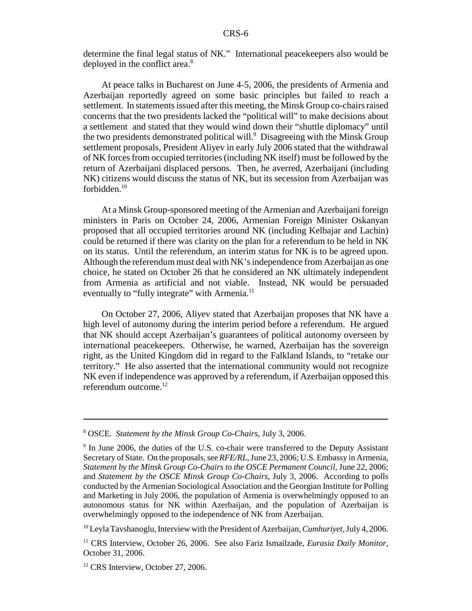determine the final legal status of NK." International peacekeepers also would be deployed in the conflict area.<sup>8</sup>

At peace talks in Bucharest on June 4-5, 2006, the presidents of Armenia and Azerbaijan reportedly agreed on some basic principles but failed to reach a settlement. In statements issued after this meeting, the Minsk Group co-chairs raised concerns that the two presidents lacked the "political will" to make decisions about a settlement and stated that they would wind down their "shuttle diplomacy" until the two presidents demonstrated political will.<sup>9</sup> Disagreeing with the Minsk Group settlement proposals, President Aliyev in early July 2006 stated that the withdrawal of NK forces from occupied territories (including NK itself) must be followed by the return of Azerbaijani displaced persons. Then, he averred, Azerbaijani (including NK) citizens would discuss the status of NK, but its secession from Azerbaijan was forbidden.<sup>10</sup>

At a Minsk Group-sponsored meeting of the Armenian and Azerbaijani foreign ministers in Paris on October 24, 2006, Armenian Foreign Minister Oskanyan proposed that all occupied territories around NK (including Kelbajar and Lachin) could be returned if there was clarity on the plan for a referendum to be held in NK on its status. Until the referendum, an interim status for NK is to be agreed upon. Although the referendum must deal with NK's independence from Azerbaijan as one choice, he stated on October 26 that he considered an NK ultimately independent from Armenia as artificial and not viable. Instead, NK would be persuaded eventually to "fully integrate" with Armenia.<sup>11</sup>

On October 27, 2006, Aliyev stated that Azerbaijan proposes that NK have a high level of autonomy during the interim period before a referendum. He argued that NK should accept Azerbaijan's guarantees of political autonomy overseen by international peacekeepers. Otherwise, he warned, Azerbaijan has the sovereign right, as the United Kingdom did in regard to the Falkland Islands, to "retake our territory." He also asserted that the international community would not recognize NK even if independence was approved by a referendum, if Azerbaijan opposed this referendum outcome. $^{12}$ 

10 Leyla Tavshanoglu, Interview with the President of Azerbaijan, *Cumhuriyet*, July 4, 2006.

<sup>8</sup> OSCE. *Statement by the Minsk Group Co-Chairs*, July 3, 2006.

<sup>&</sup>lt;sup>9</sup> In June 2006, the duties of the U.S. co-chair were transferred to the Deputy Assistant Secretary of State. On the proposals, see *RFE/RL*, June 23, 2006; U.S. Embassy in Armenia, *Statement by the Minsk Group Co-Chairs to the OSCE Permanent Council*, June 22, 2006; and *Statement by the OSCE Minsk Group Co-Chairs*, July 3, 2006. According to polls conducted by the Armenian Sociological Association and the Georgian Institute for Polling and Marketing in July 2006, the population of Armenia is overwhelmingly opposed to an autonomous status for NK within Azerbaijan, and the population of Azerbaijan is overwhelmingly opposed to the independence of NK from Azerbaijan.

<sup>&</sup>lt;sup>11</sup> CRS Interview, October 26, 2006. See also Fariz Ismailzade, *Eurasia Daily Monitor*, October 31, 2006.

<sup>&</sup>lt;sup>12</sup> CRS Interview, October 27, 2006.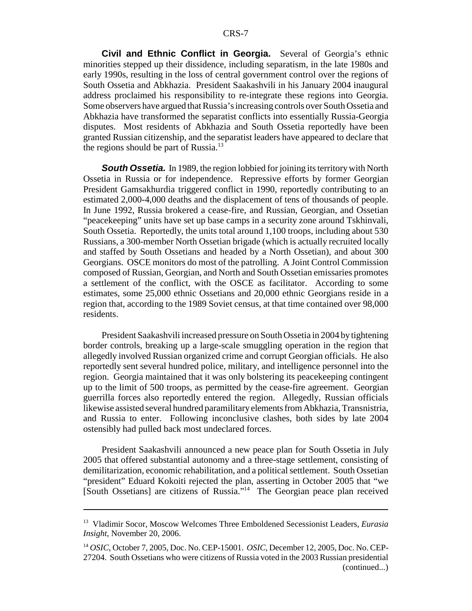**Civil and Ethnic Conflict in Georgia.** Several of Georgia's ethnic minorities stepped up their dissidence, including separatism, in the late 1980s and early 1990s, resulting in the loss of central government control over the regions of South Ossetia and Abkhazia. President Saakashvili in his January 2004 inaugural address proclaimed his responsibility to re-integrate these regions into Georgia. Some observers have argued that Russia's increasing controls over South Ossetia and Abkhazia have transformed the separatist conflicts into essentially Russia-Georgia disputes. Most residents of Abkhazia and South Ossetia reportedly have been granted Russian citizenship, and the separatist leaders have appeared to declare that the regions should be part of Russia.<sup>13</sup>

**South Ossetia.** In 1989, the region lobbied for joining its territory with North Ossetia in Russia or for independence. Repressive efforts by former Georgian President Gamsakhurdia triggered conflict in 1990, reportedly contributing to an estimated 2,000-4,000 deaths and the displacement of tens of thousands of people. In June 1992, Russia brokered a cease-fire, and Russian, Georgian, and Ossetian "peacekeeping" units have set up base camps in a security zone around Tskhinvali, South Ossetia. Reportedly, the units total around 1,100 troops, including about 530 Russians, a 300-member North Ossetian brigade (which is actually recruited locally and staffed by South Ossetians and headed by a North Ossetian), and about 300 Georgians. OSCE monitors do most of the patrolling. A Joint Control Commission composed of Russian, Georgian, and North and South Ossetian emissaries promotes a settlement of the conflict, with the OSCE as facilitator. According to some estimates, some 25,000 ethnic Ossetians and 20,000 ethnic Georgians reside in a region that, according to the 1989 Soviet census, at that time contained over 98,000 residents.

President Saakashvili increased pressure on South Ossetia in 2004 by tightening border controls, breaking up a large-scale smuggling operation in the region that allegedly involved Russian organized crime and corrupt Georgian officials. He also reportedly sent several hundred police, military, and intelligence personnel into the region. Georgia maintained that it was only bolstering its peacekeeping contingent up to the limit of 500 troops, as permitted by the cease-fire agreement. Georgian guerrilla forces also reportedly entered the region. Allegedly, Russian officials likewise assisted several hundred paramilitary elements from Abkhazia, Transnistria, and Russia to enter. Following inconclusive clashes, both sides by late 2004 ostensibly had pulled back most undeclared forces.

President Saakashvili announced a new peace plan for South Ossetia in July 2005 that offered substantial autonomy and a three-stage settlement, consisting of demilitarization, economic rehabilitation, and a political settlement. South Ossetian "president" Eduard Kokoiti rejected the plan, asserting in October 2005 that "we [South Ossetians] are citizens of Russia."14 The Georgian peace plan received

<sup>13</sup> Vladimir Socor, Moscow Welcomes Three Emboldened Secessionist Leaders, *Eurasia Insight*, November 20, 2006.

<sup>14</sup> *OSIC*, October 7, 2005, Doc. No. CEP-15001. *OSIC*, December 12, 2005, Doc. No. CEP-27204. South Ossetians who were citizens of Russia voted in the 2003 Russian presidential (continued...)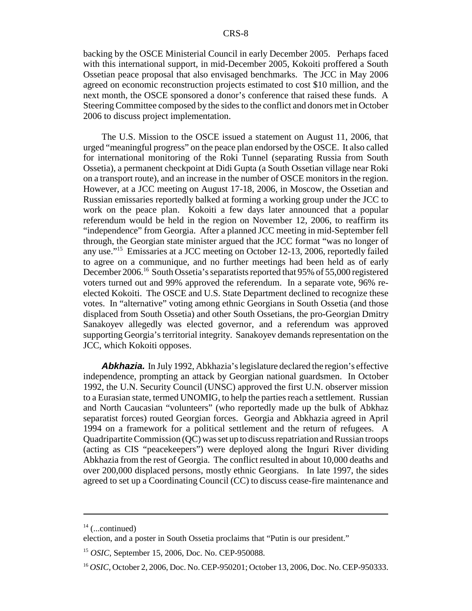backing by the OSCE Ministerial Council in early December 2005. Perhaps faced with this international support, in mid-December 2005, Kokoiti proffered a South Ossetian peace proposal that also envisaged benchmarks. The JCC in May 2006 agreed on economic reconstruction projects estimated to cost \$10 million, and the next month, the OSCE sponsored a donor's conference that raised these funds. A Steering Committee composed by the sides to the conflict and donors met in October 2006 to discuss project implementation.

The U.S. Mission to the OSCE issued a statement on August 11, 2006, that urged "meaningful progress" on the peace plan endorsed by the OSCE. It also called for international monitoring of the Roki Tunnel (separating Russia from South Ossetia), a permanent checkpoint at Didi Gupta (a South Ossetian village near Roki on a transport route), and an increase in the number of OSCE monitors in the region. However, at a JCC meeting on August 17-18, 2006, in Moscow, the Ossetian and Russian emissaries reportedly balked at forming a working group under the JCC to work on the peace plan. Kokoiti a few days later announced that a popular referendum would be held in the region on November 12, 2006, to reaffirm its "independence" from Georgia. After a planned JCC meeting in mid-September fell through, the Georgian state minister argued that the JCC format "was no longer of any use."15 Emissaries at a JCC meeting on October 12-13, 2006, reportedly failed to agree on a communique, and no further meetings had been held as of early December 2006.16 South Ossetia's separatists reported that 95% of 55,000 registered voters turned out and 99% approved the referendum. In a separate vote, 96% reelected Kokoiti. The OSCE and U.S. State Department declined to recognize these votes. In "alternative" voting among ethnic Georgians in South Ossetia (and those displaced from South Ossetia) and other South Ossetians, the pro-Georgian Dmitry Sanakoyev allegedly was elected governor, and a referendum was approved supporting Georgia's territorial integrity. Sanakoyev demands representation on the JCC, which Kokoiti opposes.

*Abkhazia.* In July 1992, Abkhazia's legislature declared the region's effective independence, prompting an attack by Georgian national guardsmen. In October 1992, the U.N. Security Council (UNSC) approved the first U.N. observer mission to a Eurasian state, termed UNOMIG, to help the parties reach a settlement. Russian and North Caucasian "volunteers" (who reportedly made up the bulk of Abkhaz separatist forces) routed Georgian forces. Georgia and Abkhazia agreed in April 1994 on a framework for a political settlement and the return of refugees. A Quadripartite Commission (QC) was set up to discuss repatriation and Russian troops (acting as CIS "peacekeepers") were deployed along the Inguri River dividing Abkhazia from the rest of Georgia. The conflict resulted in about 10,000 deaths and over 200,000 displaced persons, mostly ethnic Georgians. In late 1997, the sides agreed to set up a Coordinating Council (CC) to discuss cease-fire maintenance and

 $14$  (...continued)

election, and a poster in South Ossetia proclaims that "Putin is our president."

<sup>15</sup> *OSIC*, September 15, 2006, Doc. No. CEP-950088.

<sup>&</sup>lt;sup>16</sup> *OSIC*, October 2, 2006, Doc. No. CEP-950201; October 13, 2006, Doc. No. CEP-950333.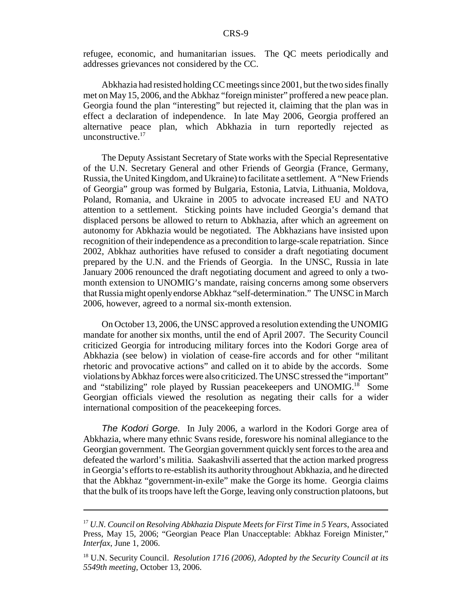refugee, economic, and humanitarian issues. The QC meets periodically and addresses grievances not considered by the CC.

Abkhazia had resisted holding CC meetings since 2001, but the two sides finally met on May 15, 2006, and the Abkhaz "foreign minister" proffered a new peace plan. Georgia found the plan "interesting" but rejected it, claiming that the plan was in effect a declaration of independence. In late May 2006, Georgia proffered an alternative peace plan, which Abkhazia in turn reportedly rejected as unconstructive.<sup>17</sup>

The Deputy Assistant Secretary of State works with the Special Representative of the U.N. Secretary General and other Friends of Georgia (France, Germany, Russia, the United Kingdom, and Ukraine) to facilitate a settlement. A "New Friends of Georgia" group was formed by Bulgaria, Estonia, Latvia, Lithuania, Moldova, Poland, Romania, and Ukraine in 2005 to advocate increased EU and NATO attention to a settlement. Sticking points have included Georgia's demand that displaced persons be allowed to return to Abkhazia, after which an agreement on autonomy for Abkhazia would be negotiated. The Abkhazians have insisted upon recognition of their independence as a precondition to large-scale repatriation. Since 2002, Abkhaz authorities have refused to consider a draft negotiating document prepared by the U.N. and the Friends of Georgia. In the UNSC, Russia in late January 2006 renounced the draft negotiating document and agreed to only a twomonth extension to UNOMIG's mandate, raising concerns among some observers that Russia might openly endorse Abkhaz "self-determination." The UNSC in March 2006, however, agreed to a normal six-month extension.

On October 13, 2006, the UNSC approved a resolution extending the UNOMIG mandate for another six months, until the end of April 2007. The Security Council criticized Georgia for introducing military forces into the Kodori Gorge area of Abkhazia (see below) in violation of cease-fire accords and for other "militant rhetoric and provocative actions" and called on it to abide by the accords. Some violations by Abkhaz forces were also criticized. The UNSC stressed the "important" and "stabilizing" role played by Russian peacekeepers and UNOMIG.<sup>18</sup> Some Georgian officials viewed the resolution as negating their calls for a wider international composition of the peacekeeping forces.

*The Kodori Gorge.* In July 2006, a warlord in the Kodori Gorge area of Abkhazia, where many ethnic Svans reside, foreswore his nominal allegiance to the Georgian government. The Georgian government quickly sent forces to the area and defeated the warlord's militia. Saakashvili asserted that the action marked progress in Georgia's efforts to re-establish its authority throughout Abkhazia, and he directed that the Abkhaz "government-in-exile" make the Gorge its home. Georgia claims that the bulk of its troops have left the Gorge, leaving only construction platoons, but

<sup>17</sup> *U.N. Council on Resolving Abkhazia Dispute Meets for First Time in 5 Years*, Associated Press, May 15, 2006; "Georgian Peace Plan Unacceptable: Abkhaz Foreign Minister," *Interfax*, June 1, 2006.

<sup>18</sup> U.N. Security Council. *Resolution 1716 (2006), Adopted by the Security Council at its 5549th meeting*, October 13, 2006.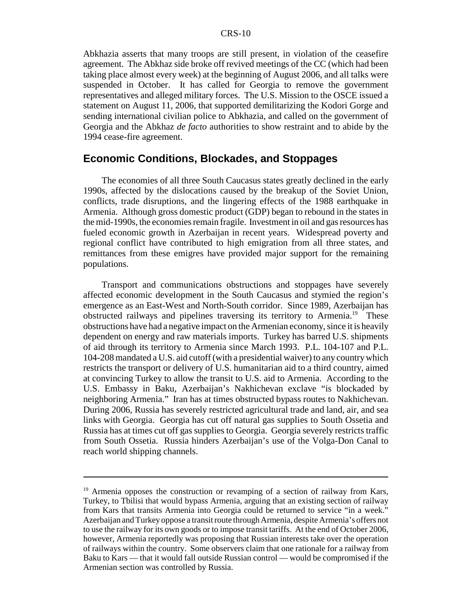Abkhazia asserts that many troops are still present, in violation of the ceasefire agreement. The Abkhaz side broke off revived meetings of the CC (which had been taking place almost every week) at the beginning of August 2006, and all talks were suspended in October. It has called for Georgia to remove the government representatives and alleged military forces. The U.S. Mission to the OSCE issued a statement on August 11, 2006, that supported demilitarizing the Kodori Gorge and sending international civilian police to Abkhazia, and called on the government of Georgia and the Abkhaz *de facto* authorities to show restraint and to abide by the 1994 cease-fire agreement.

### **Economic Conditions, Blockades, and Stoppages**

The economies of all three South Caucasus states greatly declined in the early 1990s, affected by the dislocations caused by the breakup of the Soviet Union, conflicts, trade disruptions, and the lingering effects of the 1988 earthquake in Armenia. Although gross domestic product (GDP) began to rebound in the states in the mid-1990s, the economies remain fragile. Investment in oil and gas resources has fueled economic growth in Azerbaijan in recent years. Widespread poverty and regional conflict have contributed to high emigration from all three states, and remittances from these emigres have provided major support for the remaining populations.

Transport and communications obstructions and stoppages have severely affected economic development in the South Caucasus and stymied the region's emergence as an East-West and North-South corridor. Since 1989, Azerbaijan has obstructed railways and pipelines traversing its territory to Armenia.19 These obstructions have had a negative impact on the Armenian economy, since it is heavily dependent on energy and raw materials imports. Turkey has barred U.S. shipments of aid through its territory to Armenia since March 1993. P.L. 104-107 and P.L. 104-208 mandated a U.S. aid cutoff (with a presidential waiver) to any country which restricts the transport or delivery of U.S. humanitarian aid to a third country, aimed at convincing Turkey to allow the transit to U.S. aid to Armenia. According to the U.S. Embassy in Baku, Azerbaijan's Nakhichevan exclave "is blockaded by neighboring Armenia." Iran has at times obstructed bypass routes to Nakhichevan. During 2006, Russia has severely restricted agricultural trade and land, air, and sea links with Georgia. Georgia has cut off natural gas supplies to South Ossetia and Russia has at times cut off gas supplies to Georgia. Georgia severely restricts traffic from South Ossetia. Russia hinders Azerbaijan's use of the Volga-Don Canal to reach world shipping channels.

<sup>&</sup>lt;sup>19</sup> Armenia opposes the construction or revamping of a section of railway from Kars, Turkey, to Tbilisi that would bypass Armenia, arguing that an existing section of railway from Kars that transits Armenia into Georgia could be returned to service "in a week." Azerbaijan and Turkey oppose a transit route through Armenia, despite Armenia's offers not to use the railway for its own goods or to impose transit tariffs. At the end of October 2006, however, Armenia reportedly was proposing that Russian interests take over the operation of railways within the country. Some observers claim that one rationale for a railway from Baku to Kars — that it would fall outside Russian control — would be compromised if the Armenian section was controlled by Russia.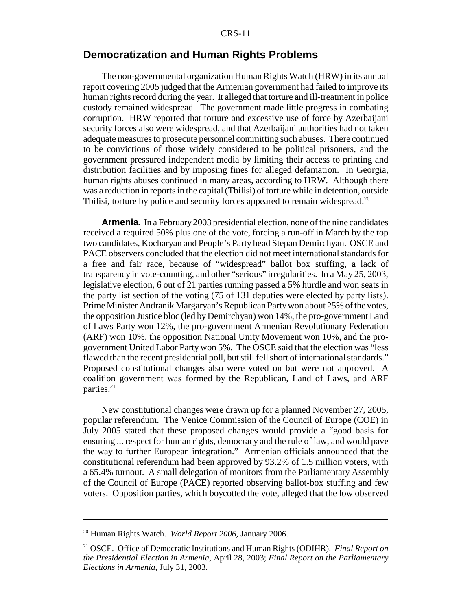#### CRS-11

## **Democratization and Human Rights Problems**

The non-governmental organization Human Rights Watch (HRW) in its annual report covering 2005 judged that the Armenian government had failed to improve its human rights record during the year. It alleged that torture and ill-treatment in police custody remained widespread. The government made little progress in combating corruption. HRW reported that torture and excessive use of force by Azerbaijani security forces also were widespread, and that Azerbaijani authorities had not taken adequate measures to prosecute personnel committing such abuses. There continued to be convictions of those widely considered to be political prisoners, and the government pressured independent media by limiting their access to printing and distribution facilities and by imposing fines for alleged defamation. In Georgia, human rights abuses continued in many areas, according to HRW. Although there was a reduction in reports in the capital (Tbilisi) of torture while in detention, outside Tbilisi, torture by police and security forces appeared to remain widespread.<sup>20</sup>

**Armenia.** In a February 2003 presidential election, none of the nine candidates received a required 50% plus one of the vote, forcing a run-off in March by the top two candidates, Kocharyan and People's Party head Stepan Demirchyan. OSCE and PACE observers concluded that the election did not meet international standards for a free and fair race, because of "widespread" ballot box stuffing, a lack of transparency in vote-counting, and other "serious" irregularities. In a May 25, 2003, legislative election, 6 out of 21 parties running passed a 5% hurdle and won seats in the party list section of the voting (75 of 131 deputies were elected by party lists). Prime Minister Andranik Margaryan's Republican Party won about 25% of the votes, the opposition Justice bloc (led by Demirchyan) won 14%, the pro-government Land of Laws Party won 12%, the pro-government Armenian Revolutionary Federation (ARF) won 10%, the opposition National Unity Movement won 10%, and the progovernment United Labor Party won 5%. The OSCE said that the election was "less flawed than the recent presidential poll, but still fell short of international standards." Proposed constitutional changes also were voted on but were not approved. A coalition government was formed by the Republican, Land of Laws, and ARF parties. $21$ 

New constitutional changes were drawn up for a planned November 27, 2005, popular referendum. The Venice Commission of the Council of Europe (COE) in July 2005 stated that these proposed changes would provide a "good basis for ensuring ... respect for human rights, democracy and the rule of law, and would pave the way to further European integration." Armenian officials announced that the constitutional referendum had been approved by 93.2% of 1.5 million voters, with a 65.4% turnout. A small delegation of monitors from the Parliamentary Assembly of the Council of Europe (PACE) reported observing ballot-box stuffing and few voters. Opposition parties, which boycotted the vote, alleged that the low observed

<sup>20</sup> Human Rights Watch. *World Report 2006*, January 2006.

<sup>21</sup> OSCE. Office of Democratic Institutions and Human Rights (ODIHR). *Final Report on the Presidential Election in Armenia*, April 28, 2003; *Final Report on the Parliamentary Elections in Armenia*, July 31, 2003.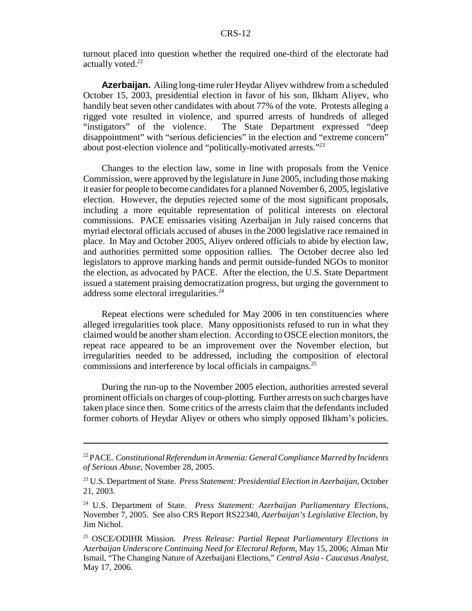turnout placed into question whether the required one-third of the electorate had actually voted.<sup>22</sup>

**Azerbaijan.** Ailing long-time ruler Heydar Aliyev withdrew from a scheduled October 15, 2003, presidential election in favor of his son, Ilkham Aliyev, who handily beat seven other candidates with about 77% of the vote. Protests alleging a rigged vote resulted in violence, and spurred arrests of hundreds of alleged The State Department expressed "deep disappointment" with "serious deficiencies" in the election and "extreme concern" about post-election violence and "politically-motivated arrests."<sup>23</sup>

Changes to the election law, some in line with proposals from the Venice Commission, were approved by the legislature in June 2005, including those making it easier for people to become candidates for a planned November 6, 2005, legislative election. However, the deputies rejected some of the most significant proposals, including a more equitable representation of political interests on electoral commissions. PACE emissaries visiting Azerbaijan in July raised concerns that myriad electoral officials accused of abuses in the 2000 legislative race remained in place. In May and October 2005, Aliyev ordered officials to abide by election law, and authorities permitted some opposition rallies. The October decree also led legislators to approve marking hands and permit outside-funded NGOs to monitor the election, as advocated by PACE. After the election, the U.S. State Department issued a statement praising democratization progress, but urging the government to address some electoral irregularities.<sup>24</sup>

Repeat elections were scheduled for May 2006 in ten constituencies where alleged irregularities took place. Many oppositionists refused to run in what they claimed would be another sham election. According to OSCE election monitors, the repeat race appeared to be an improvement over the November election, but irregularities needed to be addressed, including the composition of electoral commissions and interference by local officials in campaigns.25

During the run-up to the November 2005 election, authorities arrested several prominent officials on charges of coup-plotting. Further arrests on such charges have taken place since then. Some critics of the arrests claim that the defendants included former cohorts of Heydar Aliyev or others who simply opposed Ilkham's policies.

<sup>22</sup> PACE. *Constitutional Referendum in Armenia: General Compliance Marred by Incidents of Serious Abuse*, November 28, 2005.

<sup>23</sup> U.S. Department of State. *Press Statement: Presidential Election in Azerbaijan*, October 21, 2003.

<sup>24</sup> U.S. Department of State. *Press Statement: Azerbaijan Parliamentary Elections*, November 7, 2005. See also CRS Report RS22340, *Azerbaijan's Legislative Election*, by Jim Nichol.

<sup>25</sup> OSCE/ODIHR Mission. *Press Release: Partial Repeat Parliamentary Elections in Azerbaijan Underscore Continuing Need for Electoral Reform*, May 15, 2006; Alman Mir Ismail, "The Changing Nature of Azerbaijani Elections," *Central Asia - Caucasus Analyst*, May 17, 2006.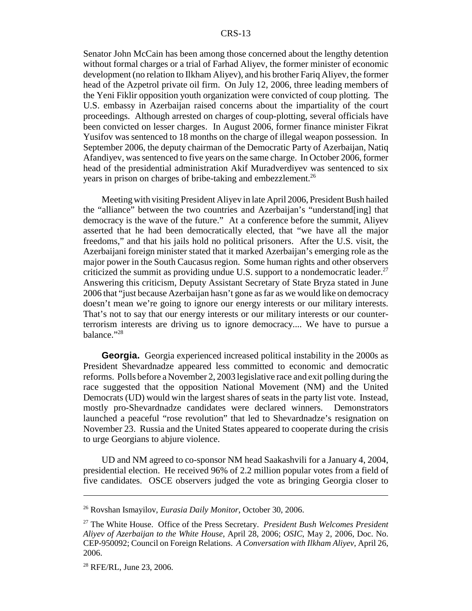Senator John McCain has been among those concerned about the lengthy detention without formal charges or a trial of Farhad Aliyev, the former minister of economic development (no relation to Ilkham Aliyev), and his brother Fariq Aliyev, the former head of the Azpetrol private oil firm. On July 12, 2006, three leading members of the Yeni Fiklir opposition youth organization were convicted of coup plotting. The U.S. embassy in Azerbaijan raised concerns about the impartiality of the court proceedings. Although arrested on charges of coup-plotting, several officials have been convicted on lesser charges. In August 2006, former finance minister Fikrat Yusifov was sentenced to 18 months on the charge of illegal weapon possession. In September 2006, the deputy chairman of the Democratic Party of Azerbaijan, Natiq Afandiyev, was sentenced to five years on the same charge. In October 2006, former head of the presidential administration Akif Muradverdiyev was sentenced to six years in prison on charges of bribe-taking and embezzlement.<sup>26</sup>

Meeting with visiting President Aliyev in late April 2006, President Bush hailed the "alliance" between the two countries and Azerbaijan's "understand[ing] that democracy is the wave of the future." At a conference before the summit, Aliyev asserted that he had been democratically elected, that "we have all the major freedoms," and that his jails hold no political prisoners. After the U.S. visit, the Azerbaijani foreign minister stated that it marked Azerbaijan's emerging role as the major power in the South Caucasus region. Some human rights and other observers criticized the summit as providing undue U.S. support to a nondemocratic leader.<sup>27</sup> Answering this criticism, Deputy Assistant Secretary of State Bryza stated in June 2006 that "just because Azerbaijan hasn't gone as far as we would like on democracy doesn't mean we're going to ignore our energy interests or our military interests. That's not to say that our energy interests or our military interests or our counterterrorism interests are driving us to ignore democracy.... We have to pursue a balance."<sup>28</sup>

**Georgia.** Georgia experienced increased political instability in the 2000s as President Shevardnadze appeared less committed to economic and democratic reforms. Polls before a November 2, 2003 legislative race and exit polling during the race suggested that the opposition National Movement (NM) and the United Democrats (UD) would win the largest shares of seats in the party list vote. Instead, mostly pro-Shevardnadze candidates were declared winners. Demonstrators launched a peaceful "rose revolution" that led to Shevardnadze's resignation on November 23. Russia and the United States appeared to cooperate during the crisis to urge Georgians to abjure violence.

UD and NM agreed to co-sponsor NM head Saakashvili for a January 4, 2004, presidential election. He received 96% of 2.2 million popular votes from a field of five candidates. OSCE observers judged the vote as bringing Georgia closer to

<sup>26</sup> Rovshan Ismayilov, *Eurasia Daily Monitor*, October 30, 2006.

<sup>27</sup> The White House. Office of the Press Secretary. *President Bush Welcomes President Aliyev of Azerbaijan to the White House*, April 28, 2006; *OSIC*, May 2, 2006, Doc. No. CEP-950092; Council on Foreign Relations. *A Conversation with Ilkham Aliyev*, April 26, 2006.

<sup>&</sup>lt;sup>28</sup> RFE/RL, June 23, 2006.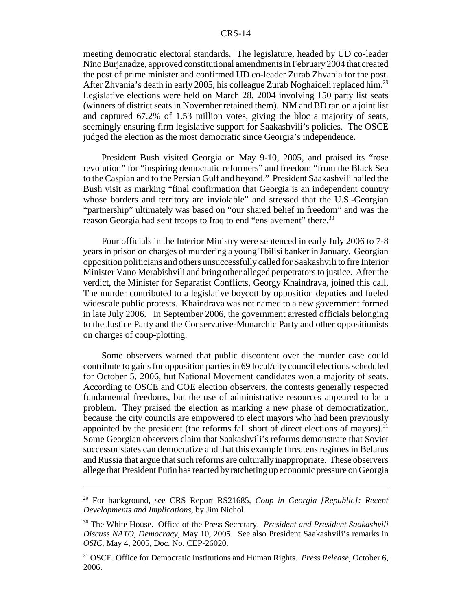#### CRS-14

meeting democratic electoral standards. The legislature, headed by UD co-leader Nino Burjanadze, approved constitutional amendments in February 2004 that created the post of prime minister and confirmed UD co-leader Zurab Zhvania for the post. After Zhvania's death in early 2005, his colleague Zurab Noghaideli replaced him.<sup>29</sup> Legislative elections were held on March 28, 2004 involving 150 party list seats (winners of district seats in November retained them). NM and BD ran on a joint list and captured 67.2% of 1.53 million votes, giving the bloc a majority of seats, seemingly ensuring firm legislative support for Saakashvili's policies. The OSCE judged the election as the most democratic since Georgia's independence.

President Bush visited Georgia on May 9-10, 2005, and praised its "rose revolution" for "inspiring democratic reformers" and freedom "from the Black Sea to the Caspian and to the Persian Gulf and beyond." President Saakashvili hailed the Bush visit as marking "final confirmation that Georgia is an independent country whose borders and territory are inviolable" and stressed that the U.S.-Georgian "partnership" ultimately was based on "our shared belief in freedom" and was the reason Georgia had sent troops to Iraq to end "enslavement" there.<sup>30</sup>

Four officials in the Interior Ministry were sentenced in early July 2006 to 7-8 years in prison on charges of murdering a young Tbilisi banker in January. Georgian opposition politicians and others unsuccessfully called for Saakashvili to fire Interior Minister Vano Merabishvili and bring other alleged perpetrators to justice. After the verdict, the Minister for Separatist Conflicts, Georgy Khaindrava, joined this call, The murder contributed to a legislative boycott by opposition deputies and fueled widescale public protests. Khaindrava was not named to a new government formed in late July 2006. In September 2006, the government arrested officials belonging to the Justice Party and the Conservative-Monarchic Party and other oppositionists on charges of coup-plotting.

Some observers warned that public discontent over the murder case could contribute to gains for opposition parties in 69 local/city council elections scheduled for October 5, 2006, but National Movement candidates won a majority of seats. According to OSCE and COE election observers, the contests generally respected fundamental freedoms, but the use of administrative resources appeared to be a problem. They praised the election as marking a new phase of democratization, because the city councils are empowered to elect mayors who had been previously appointed by the president (the reforms fall short of direct elections of mayors).<sup>31</sup> Some Georgian observers claim that Saakashvili's reforms demonstrate that Soviet successor states can democratize and that this example threatens regimes in Belarus and Russia that argue that such reforms are culturally inappropriate. These observers allege that President Putin has reacted by ratcheting up economic pressure on Georgia

<sup>29</sup> For background, see CRS Report RS21685, *Coup in Georgia [Republic]: Recent Developments and Implications*, by Jim Nichol.

<sup>30</sup> The White House. Office of the Press Secretary. *President and President Saakashvili Discuss NATO, Democracy*, May 10, 2005. See also President Saakashvili's remarks in *OSIC*, May 4, 2005, Doc. No. CEP-26020.

<sup>31</sup> OSCE. Office for Democratic Institutions and Human Rights. *Press Release*, October 6, 2006.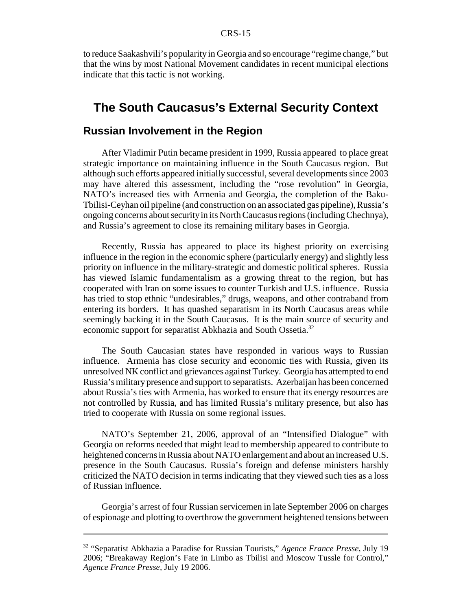to reduce Saakashvili's popularity in Georgia and so encourage "regime change," but that the wins by most National Movement candidates in recent municipal elections indicate that this tactic is not working.

## **The South Caucasus's External Security Context**

#### **Russian Involvement in the Region**

After Vladimir Putin became president in 1999, Russia appeared to place great strategic importance on maintaining influence in the South Caucasus region. But although such efforts appeared initially successful, several developments since 2003 may have altered this assessment, including the "rose revolution" in Georgia, NATO's increased ties with Armenia and Georgia, the completion of the Baku-Tbilisi-Ceyhan oil pipeline (and construction on an associated gas pipeline), Russia's ongoing concerns about security in its North Caucasus regions (including Chechnya), and Russia's agreement to close its remaining military bases in Georgia.

Recently, Russia has appeared to place its highest priority on exercising influence in the region in the economic sphere (particularly energy) and slightly less priority on influence in the military-strategic and domestic political spheres. Russia has viewed Islamic fundamentalism as a growing threat to the region, but has cooperated with Iran on some issues to counter Turkish and U.S. influence. Russia has tried to stop ethnic "undesirables," drugs, weapons, and other contraband from entering its borders. It has quashed separatism in its North Caucasus areas while seemingly backing it in the South Caucasus. It is the main source of security and economic support for separatist Abkhazia and South Ossetia.<sup>32</sup>

The South Caucasian states have responded in various ways to Russian influence. Armenia has close security and economic ties with Russia, given its unresolved NK conflict and grievances against Turkey. Georgia has attempted to end Russia's military presence and support to separatists. Azerbaijan has been concerned about Russia's ties with Armenia, has worked to ensure that its energy resources are not controlled by Russia, and has limited Russia's military presence, but also has tried to cooperate with Russia on some regional issues.

NATO's September 21, 2006, approval of an "Intensified Dialogue" with Georgia on reforms needed that might lead to membership appeared to contribute to heightened concerns in Russia about NATO enlargement and about an increased U.S. presence in the South Caucasus. Russia's foreign and defense ministers harshly criticized the NATO decision in terms indicating that they viewed such ties as a loss of Russian influence.

Georgia's arrest of four Russian servicemen in late September 2006 on charges of espionage and plotting to overthrow the government heightened tensions between

<sup>32 &</sup>quot;Separatist Abkhazia a Paradise for Russian Tourists," *Agence France Presse,* July 19 2006; "Breakaway Region's Fate in Limbo as Tbilisi and Moscow Tussle for Control," *Agence France Presse,* July 19 2006.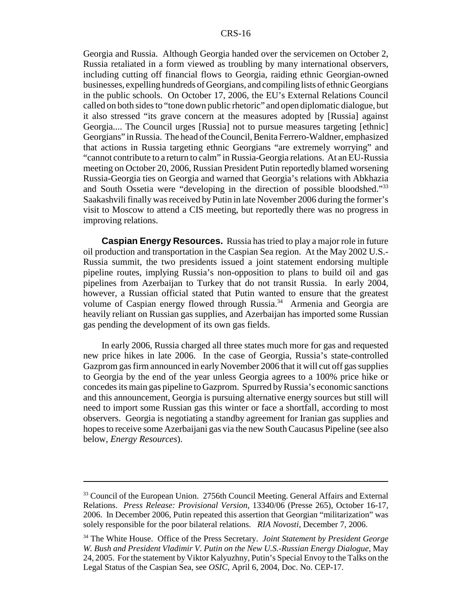Georgia and Russia. Although Georgia handed over the servicemen on October 2, Russia retaliated in a form viewed as troubling by many international observers, including cutting off financial flows to Georgia, raiding ethnic Georgian-owned businesses, expelling hundreds of Georgians, and compiling lists of ethnic Georgians in the public schools. On October 17, 2006, the EU's External Relations Council called on both sides to "tone down public rhetoric" and open diplomatic dialogue, but it also stressed "its grave concern at the measures adopted by [Russia] against Georgia.... The Council urges [Russia] not to pursue measures targeting [ethnic] Georgians" in Russia. The head of the Council, Benita Ferrero-Waldner, emphasized that actions in Russia targeting ethnic Georgians "are extremely worrying" and "cannot contribute to a return to calm" in Russia-Georgia relations. At an EU-Russia meeting on October 20, 2006, Russian President Putin reportedly blamed worsening Russia-Georgia ties on Georgia and warned that Georgia's relations with Abkhazia and South Ossetia were "developing in the direction of possible bloodshed."<sup>33</sup> Saakashvili finally was received by Putin in late November 2006 during the former's visit to Moscow to attend a CIS meeting, but reportedly there was no progress in improving relations.

**Caspian Energy Resources.** Russia has tried to play a major role in future oil production and transportation in the Caspian Sea region. At the May 2002 U.S.- Russia summit, the two presidents issued a joint statement endorsing multiple pipeline routes, implying Russia's non-opposition to plans to build oil and gas pipelines from Azerbaijan to Turkey that do not transit Russia. In early 2004, however, a Russian official stated that Putin wanted to ensure that the greatest volume of Caspian energy flowed through Russia.<sup>34</sup> Armenia and Georgia are heavily reliant on Russian gas supplies, and Azerbaijan has imported some Russian gas pending the development of its own gas fields.

In early 2006, Russia charged all three states much more for gas and requested new price hikes in late 2006. In the case of Georgia, Russia's state-controlled Gazprom gas firm announced in early November 2006 that it will cut off gas supplies to Georgia by the end of the year unless Georgia agrees to a 100% price hike or concedes its main gas pipeline to Gazprom. Spurred by Russia's economic sanctions and this announcement, Georgia is pursuing alternative energy sources but still will need to import some Russian gas this winter or face a shortfall, according to most observers. Georgia is negotiating a standby agreement for Iranian gas supplies and hopes to receive some Azerbaijani gas via the new South Caucasus Pipeline (see also below, *Energy Resources*).

<sup>&</sup>lt;sup>33</sup> Council of the European Union. 2756th Council Meeting. General Affairs and External Relations. *Press Release: Provisional Version*, 13340/06 (Presse 265), October 16-17, 2006. In December 2006, Putin repeated this assertion that Georgian "militarization" was solely responsible for the poor bilateral relations. *RIA Novosti*, December 7, 2006.

<sup>34</sup> The White House. Office of the Press Secretary. *Joint Statement by President George W. Bush and President Vladimir V. Putin on the New U.S.-Russian Energy Dialogue*, May 24, 2005. For the statement by Viktor Kalyuzhny, Putin's Special Envoy to the Talks on the Legal Status of the Caspian Sea, see *OSIC*, April 6, 2004, Doc. No. CEP-17.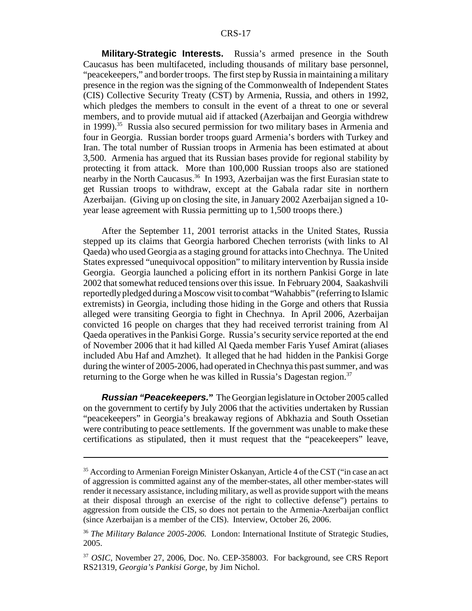#### CRS-17

**Military-Strategic Interests.** Russia's armed presence in the South Caucasus has been multifaceted, including thousands of military base personnel, "peacekeepers," and border troops. The first step by Russia in maintaining a military presence in the region was the signing of the Commonwealth of Independent States (CIS) Collective Security Treaty (CST) by Armenia, Russia, and others in 1992, which pledges the members to consult in the event of a threat to one or several members, and to provide mutual aid if attacked (Azerbaijan and Georgia withdrew in 1999).<sup>35</sup> Russia also secured permission for two military bases in Armenia and four in Georgia. Russian border troops guard Armenia's borders with Turkey and Iran. The total number of Russian troops in Armenia has been estimated at about 3,500. Armenia has argued that its Russian bases provide for regional stability by protecting it from attack. More than 100,000 Russian troops also are stationed nearby in the North Caucasus.<sup>36</sup> In 1993, Azerbaijan was the first Eurasian state to get Russian troops to withdraw, except at the Gabala radar site in northern Azerbaijan. (Giving up on closing the site, in January 2002 Azerbaijan signed a 10 year lease agreement with Russia permitting up to 1,500 troops there.)

After the September 11, 2001 terrorist attacks in the United States, Russia stepped up its claims that Georgia harbored Chechen terrorists (with links to Al Qaeda) who used Georgia as a staging ground for attacks into Chechnya. The United States expressed "unequivocal opposition" to military intervention by Russia inside Georgia. Georgia launched a policing effort in its northern Pankisi Gorge in late 2002 that somewhat reduced tensions over this issue. In February 2004, Saakashvili reportedly pledged during a Moscow visit to combat "Wahabbis" (referring to Islamic extremists) in Georgia, including those hiding in the Gorge and others that Russia alleged were transiting Georgia to fight in Chechnya. In April 2006, Azerbaijan convicted 16 people on charges that they had received terrorist training from Al Qaeda operatives in the Pankisi Gorge. Russia's security service reported at the end of November 2006 that it had killed Al Qaeda member Faris Yusef Amirat (aliases included Abu Haf and Amzhet). It alleged that he had hidden in the Pankisi Gorge during the winter of 2005-2006, had operated in Chechnya this past summer, and was returning to the Gorge when he was killed in Russia's Dagestan region.<sup>37</sup>

*Russian "Peacekeepers.***"** The Georgian legislature in October 2005 called on the government to certify by July 2006 that the activities undertaken by Russian "peacekeepers" in Georgia's breakaway regions of Abkhazia and South Ossetian were contributing to peace settlements. If the government was unable to make these certifications as stipulated, then it must request that the "peacekeepers" leave,

<sup>&</sup>lt;sup>35</sup> According to Armenian Foreign Minister Oskanyan, Article 4 of the CST ("in case an act of aggression is committed against any of the member-states, all other member-states will render it necessary assistance, including military, as well as provide support with the means at their disposal through an exercise of the right to collective defense") pertains to aggression from outside the CIS, so does not pertain to the Armenia-Azerbaijan conflict (since Azerbaijan is a member of the CIS). Interview, October 26, 2006.

<sup>36</sup> *The Military Balance 2005-2006.* London: International Institute of Strategic Studies, 2005.

<sup>37</sup> *OSIC*, November 27, 2006, Doc. No. CEP-358003. For background, see CRS Report RS21319, *Georgia's Pankisi Gorge*, by Jim Nichol.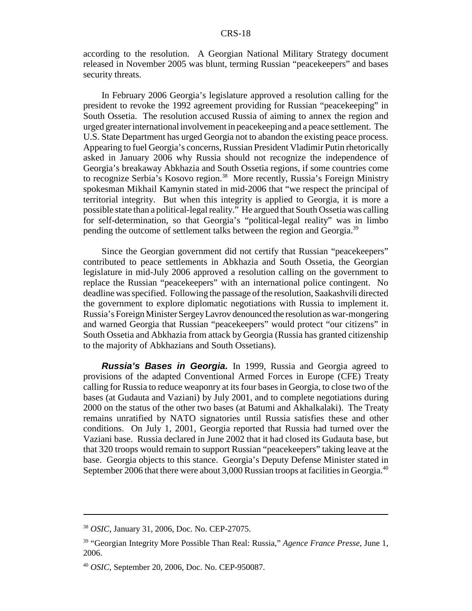according to the resolution. A Georgian National Military Strategy document released in November 2005 was blunt, terming Russian "peacekeepers" and bases security threats.

In February 2006 Georgia's legislature approved a resolution calling for the president to revoke the 1992 agreement providing for Russian "peacekeeping" in South Ossetia. The resolution accused Russia of aiming to annex the region and urged greater international involvement in peacekeeping and a peace settlement. The U.S. State Department has urged Georgia not to abandon the existing peace process. Appearing to fuel Georgia's concerns, Russian President Vladimir Putin rhetorically asked in January 2006 why Russia should not recognize the independence of Georgia's breakaway Abkhazia and South Ossetia regions, if some countries come to recognize Serbia's Kosovo region.<sup>38</sup> More recently, Russia's Foreign Ministry spokesman Mikhail Kamynin stated in mid-2006 that "we respect the principal of territorial integrity. But when this integrity is applied to Georgia, it is more a possible state than a political-legal reality." He argued that South Ossetia was calling for self-determination, so that Georgia's "political-legal reality" was in limbo pending the outcome of settlement talks between the region and Georgia.<sup>39</sup>

Since the Georgian government did not certify that Russian "peacekeepers" contributed to peace settlements in Abkhazia and South Ossetia, the Georgian legislature in mid-July 2006 approved a resolution calling on the government to replace the Russian "peacekeepers" with an international police contingent. No deadline was specified. Following the passage of the resolution, Saakashvili directed the government to explore diplomatic negotiations with Russia to implement it. Russia's Foreign Minister Sergey Lavrov denounced the resolution as war-mongering and warned Georgia that Russian "peacekeepers" would protect "our citizens" in South Ossetia and Abkhazia from attack by Georgia (Russia has granted citizenship to the majority of Abkhazians and South Ossetians).

*Russia's Bases in Georgia.* In 1999, Russia and Georgia agreed to provisions of the adapted Conventional Armed Forces in Europe (CFE) Treaty calling for Russia to reduce weaponry at its four bases in Georgia, to close two of the bases (at Gudauta and Vaziani) by July 2001, and to complete negotiations during 2000 on the status of the other two bases (at Batumi and Akhalkalaki). The Treaty remains unratified by NATO signatories until Russia satisfies these and other conditions. On July 1, 2001, Georgia reported that Russia had turned over the Vaziani base. Russia declared in June 2002 that it had closed its Gudauta base, but that 320 troops would remain to support Russian "peacekeepers" taking leave at the base. Georgia objects to this stance. Georgia's Deputy Defense Minister stated in September 2006 that there were about 3,000 Russian troops at facilities in Georgia.<sup>40</sup>

<sup>38</sup> *OSIC*, January 31, 2006, Doc. No. CEP-27075.

<sup>39 &</sup>quot;Georgian Integrity More Possible Than Real: Russia," *Agence France Presse*, June 1, 2006.

<sup>40</sup> *OSIC*, September 20, 2006, Doc. No. CEP-950087.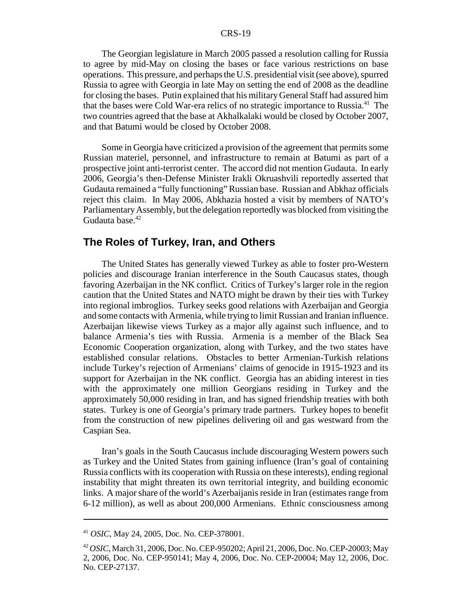#### CRS-19

The Georgian legislature in March 2005 passed a resolution calling for Russia to agree by mid-May on closing the bases or face various restrictions on base operations. This pressure, and perhaps the U.S. presidential visit (see above), spurred Russia to agree with Georgia in late May on setting the end of 2008 as the deadline for closing the bases. Putin explained that his military General Staff had assured him that the bases were Cold War-era relics of no strategic importance to Russia.<sup>41</sup> The two countries agreed that the base at Akhalkalaki would be closed by October 2007, and that Batumi would be closed by October 2008.

Some in Georgia have criticized a provision of the agreement that permits some Russian materiel, personnel, and infrastructure to remain at Batumi as part of a prospective joint anti-terrorist center. The accord did not mention Gudauta. In early 2006, Georgia's then-Defense Minister Irakli Okruashvili reportedly asserted that Gudauta remained a "fully functioning" Russian base. Russian and Abkhaz officials reject this claim. In May 2006, Abkhazia hosted a visit by members of NATO's Parliamentary Assembly, but the delegation reportedly was blocked from visiting the Gudauta base.<sup>42</sup>

#### **The Roles of Turkey, Iran, and Others**

The United States has generally viewed Turkey as able to foster pro-Western policies and discourage Iranian interference in the South Caucasus states, though favoring Azerbaijan in the NK conflict. Critics of Turkey's larger role in the region caution that the United States and NATO might be drawn by their ties with Turkey into regional imbroglios. Turkey seeks good relations with Azerbaijan and Georgia and some contacts with Armenia, while trying to limit Russian and Iranian influence. Azerbaijan likewise views Turkey as a major ally against such influence, and to balance Armenia's ties with Russia. Armenia is a member of the Black Sea Economic Cooperation organization, along with Turkey, and the two states have established consular relations. Obstacles to better Armenian-Turkish relations include Turkey's rejection of Armenians' claims of genocide in 1915-1923 and its support for Azerbaijan in the NK conflict. Georgia has an abiding interest in ties with the approximately one million Georgians residing in Turkey and the approximately 50,000 residing in Iran, and has signed friendship treaties with both states. Turkey is one of Georgia's primary trade partners. Turkey hopes to benefit from the construction of new pipelines delivering oil and gas westward from the Caspian Sea.

Iran's goals in the South Caucasus include discouraging Western powers such as Turkey and the United States from gaining influence (Iran's goal of containing Russia conflicts with its cooperation with Russia on these interests), ending regional instability that might threaten its own territorial integrity, and building economic links. A major share of the world's Azerbaijanis reside in Iran (estimates range from 6-12 million), as well as about 200,000 Armenians. Ethnic consciousness among

<sup>41</sup> *OSIC*, May 24, 2005, Doc. No. CEP-378001.

<sup>42</sup> *OSIC*, March 31, 2006, Doc. No. CEP-950202; April 21, 2006, Doc. No. CEP-20003; May 2, 2006, Doc. No. CEP-950141; May 4, 2006, Doc. No. CEP-20004; May 12, 2006, Doc. No. CEP-27137.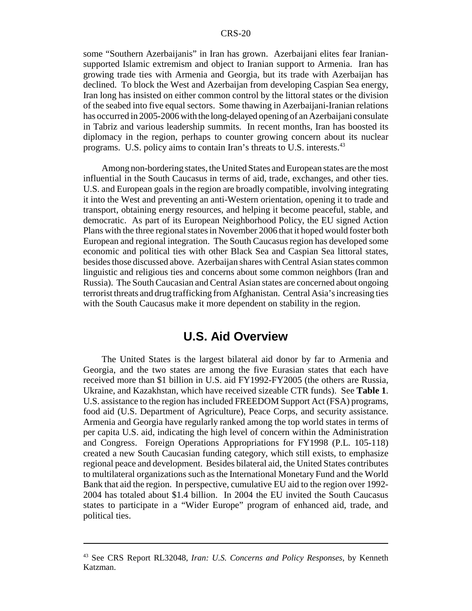some "Southern Azerbaijanis" in Iran has grown. Azerbaijani elites fear Iraniansupported Islamic extremism and object to Iranian support to Armenia. Iran has growing trade ties with Armenia and Georgia, but its trade with Azerbaijan has declined. To block the West and Azerbaijan from developing Caspian Sea energy, Iran long has insisted on either common control by the littoral states or the division of the seabed into five equal sectors. Some thawing in Azerbaijani-Iranian relations has occurred in 2005-2006 with the long-delayed opening of an Azerbaijani consulate in Tabriz and various leadership summits. In recent months, Iran has boosted its diplomacy in the region, perhaps to counter growing concern about its nuclear programs. U.S. policy aims to contain Iran's threats to U.S. interests.<sup>43</sup>

Among non-bordering states, the United States and European states are the most influential in the South Caucasus in terms of aid, trade, exchanges, and other ties. U.S. and European goals in the region are broadly compatible, involving integrating it into the West and preventing an anti-Western orientation, opening it to trade and transport, obtaining energy resources, and helping it become peaceful, stable, and democratic. As part of its European Neighborhood Policy, the EU signed Action Plans with the three regional states in November 2006 that it hoped would foster both European and regional integration. The South Caucasus region has developed some economic and political ties with other Black Sea and Caspian Sea littoral states, besides those discussed above. Azerbaijan shares with Central Asian states common linguistic and religious ties and concerns about some common neighbors (Iran and Russia). The South Caucasian and Central Asian states are concerned about ongoing terrorist threats and drug trafficking from Afghanistan. Central Asia's increasing ties with the South Caucasus make it more dependent on stability in the region.

## **U.S. Aid Overview**

The United States is the largest bilateral aid donor by far to Armenia and Georgia, and the two states are among the five Eurasian states that each have received more than \$1 billion in U.S. aid FY1992-FY2005 (the others are Russia, Ukraine, and Kazakhstan, which have received sizeable CTR funds). See **Table 1**. U.S. assistance to the region has included FREEDOM Support Act (FSA) programs, food aid (U.S. Department of Agriculture), Peace Corps, and security assistance. Armenia and Georgia have regularly ranked among the top world states in terms of per capita U.S. aid, indicating the high level of concern within the Administration and Congress. Foreign Operations Appropriations for FY1998 (P.L. 105-118) created a new South Caucasian funding category, which still exists, to emphasize regional peace and development. Besides bilateral aid, the United States contributes to multilateral organizations such as the International Monetary Fund and the World Bank that aid the region. In perspective, cumulative EU aid to the region over 1992- 2004 has totaled about \$1.4 billion. In 2004 the EU invited the South Caucasus states to participate in a "Wider Europe" program of enhanced aid, trade, and political ties.

<sup>43</sup> See CRS Report RL32048, *Iran: U.S. Concerns and Policy Responses*, by Kenneth Katzman.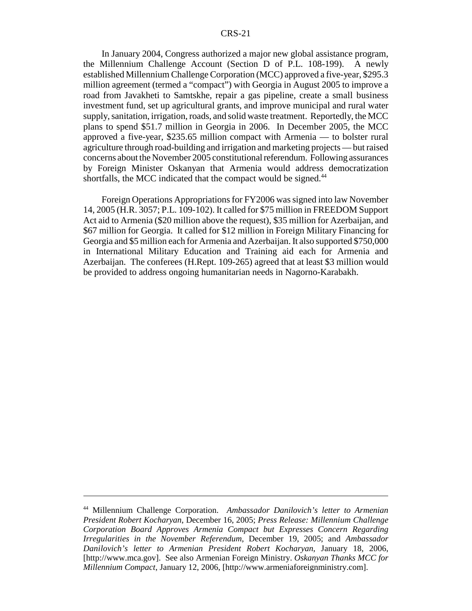#### CRS-21

In January 2004, Congress authorized a major new global assistance program, the Millennium Challenge Account (Section D of P.L. 108-199). A newly established Millennium Challenge Corporation (MCC) approved a five-year, \$295.3 million agreement (termed a "compact") with Georgia in August 2005 to improve a road from Javakheti to Samtskhe, repair a gas pipeline, create a small business investment fund, set up agricultural grants, and improve municipal and rural water supply, sanitation, irrigation, roads, and solid waste treatment. Reportedly, the MCC plans to spend \$51.7 million in Georgia in 2006. In December 2005, the MCC approved a five-year, \$235.65 million compact with Armenia — to bolster rural agriculture through road-building and irrigation and marketing projects — but raised concerns about the November 2005 constitutional referendum. Following assurances by Foreign Minister Oskanyan that Armenia would address democratization shortfalls, the MCC indicated that the compact would be signed.<sup>44</sup>

Foreign Operations Appropriations for FY2006 was signed into law November 14, 2005 (H.R. 3057; P.L. 109-102). It called for \$75 million in FREEDOM Support Act aid to Armenia (\$20 million above the request), \$35 million for Azerbaijan, and \$67 million for Georgia. It called for \$12 million in Foreign Military Financing for Georgia and \$5 million each for Armenia and Azerbaijan. It also supported \$750,000 in International Military Education and Training aid each for Armenia and Azerbaijan. The conferees (H.Rept. 109-265) agreed that at least \$3 million would be provided to address ongoing humanitarian needs in Nagorno-Karabakh.

<sup>44</sup> Millennium Challenge Corporation. *Ambassador Danilovich's letter to Armenian President Robert Kocharyan*, December 16, 2005; *Press Release: Millennium Challenge Corporation Board Approves Armenia Compact but Expresses Concern Regarding Irregularities in the November Referendum*, December 19, 2005; and *Ambassador Danilovich's letter to Armenian President Robert Kocharyan*, January 18, 2006, [http://www.mca.gov]. See also Armenian Foreign Ministry. *Oskanyan Thanks MCC for Millennium Compact*, January 12, 2006, [http://www.armeniaforeignministry.com].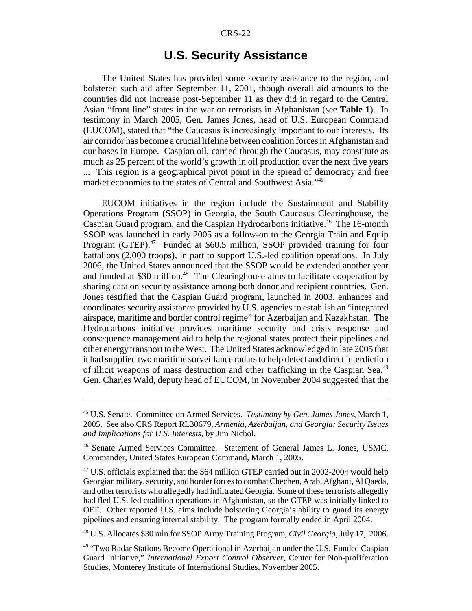#### CRS-22

## **U.S. Security Assistance**

The United States has provided some security assistance to the region, and bolstered such aid after September 11, 2001, though overall aid amounts to the countries did not increase post-September 11 as they did in regard to the Central Asian "front line" states in the war on terrorists in Afghanistan (see **Table 1**). In testimony in March 2005, Gen. James Jones, head of U.S. European Command (EUCOM), stated that "the Caucasus is increasingly important to our interests. Its air corridor has become a crucial lifeline between coalition forces in Afghanistan and our bases in Europe. Caspian oil, carried through the Caucasus, may constitute as much as 25 percent of the world's growth in oil production over the next five years ... This region is a geographical pivot point in the spread of democracy and free market economies to the states of Central and Southwest Asia."45

EUCOM initiatives in the region include the Sustainment and Stability Operations Program (SSOP) in Georgia, the South Caucasus Clearinghouse, the Caspian Guard program, and the Caspian Hydrocarbons initiative.<sup>46</sup> The 16-month SSOP was launched in early 2005 as a follow-on to the Georgia Train and Equip Program (GTEP).<sup>47</sup> Funded at \$60.5 million, SSOP provided training for four battalions (2,000 troops), in part to support U.S.-led coalition operations. In July 2006, the United States announced that the SSOP would be extended another year and funded at \$30 million.<sup>48</sup> The Clearinghouse aims to facilitate cooperation by sharing data on security assistance among both donor and recipient countries. Gen. Jones testified that the Caspian Guard program, launched in 2003, enhances and coordinates security assistance provided by U.S. agencies to establish an "integrated airspace, maritime and border control regime" for Azerbaijan and Kazakhstan. The Hydrocarbons initiative provides maritime security and crisis response and consequence management aid to help the regional states protect their pipelines and other energy transport to the West. The United States acknowledged in late 2005 that it had supplied two maritime surveillance radars to help detect and direct interdiction of illicit weapons of mass destruction and other trafficking in the Caspian Sea.49 Gen. Charles Wald, deputy head of EUCOM, in November 2004 suggested that the

48 U.S. Allocates \$30 mln for SSOP Army Training Program, *Civil Georgia*, July 17, 2006.

<sup>45</sup> U.S. Senate. Committee on Armed Services. *Testimony by Gen. James Jones*, March 1, 2005. See also CRS Report RL30679, *Armenia, Azerbaijan, and Georgia: Security Issues and Implications for U.S. Interests*, by Jim Nichol.

<sup>46</sup> Senate Armed Services Committee. Statement of General James L. Jones, USMC, Commander, United States European Command, March 1, 2005.

<sup>&</sup>lt;sup>47</sup> U.S. officials explained that the \$64 million GTEP carried out in 2002-2004 would help Georgian military, security, and border forces to combat Chechen, Arab, Afghani, Al Qaeda, and other terrorists who allegedly had infiltrated Georgia. Some of these terrorists allegedly had fled U.S.-led coalition operations in Afghanistan, so the GTEP was initially linked to OEF. Other reported U.S. aims include bolstering Georgia's ability to guard its energy pipelines and ensuring internal stability. The program formally ended in April 2004.

<sup>49 &</sup>quot;Two Radar Stations Become Operational in Azerbaijan under the U.S.-Funded Caspian Guard Initiative," *International Export Control Observer*, Center for Non-proliferation Studies, Monterey Institute of International Studies, November 2005.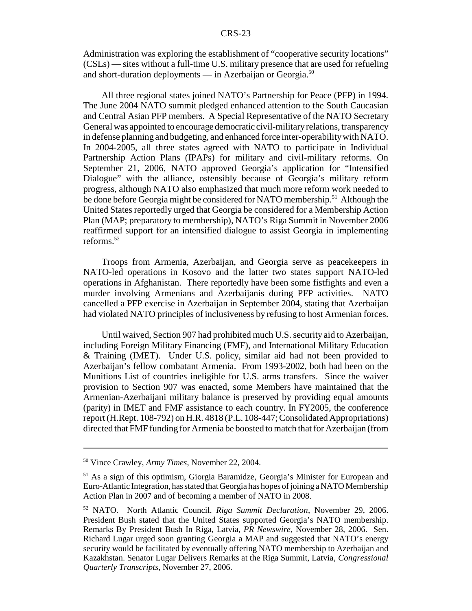Administration was exploring the establishment of "cooperative security locations" (CSLs) — sites without a full-time U.S. military presence that are used for refueling and short-duration deployments — in Azerbaijan or Georgia.<sup>50</sup>

All three regional states joined NATO's Partnership for Peace (PFP) in 1994. The June 2004 NATO summit pledged enhanced attention to the South Caucasian and Central Asian PFP members. A Special Representative of the NATO Secretary General was appointed to encourage democratic civil-military relations, transparency in defense planning and budgeting, and enhanced force inter-operability with NATO. In 2004-2005, all three states agreed with NATO to participate in Individual Partnership Action Plans (IPAPs) for military and civil-military reforms. On September 21, 2006, NATO approved Georgia's application for "Intensified Dialogue" with the alliance, ostensibly because of Georgia's military reform progress, although NATO also emphasized that much more reform work needed to be done before Georgia might be considered for NATO membership.<sup>51</sup> Although the United States reportedly urged that Georgia be considered for a Membership Action Plan (MAP; preparatory to membership), NATO's Riga Summit in November 2006 reaffirmed support for an intensified dialogue to assist Georgia in implementing reforms. $52$ 

Troops from Armenia, Azerbaijan, and Georgia serve as peacekeepers in NATO-led operations in Kosovo and the latter two states support NATO-led operations in Afghanistan. There reportedly have been some fistfights and even a murder involving Armenians and Azerbaijanis during PFP activities. NATO cancelled a PFP exercise in Azerbaijan in September 2004, stating that Azerbaijan had violated NATO principles of inclusiveness by refusing to host Armenian forces.

Until waived, Section 907 had prohibited much U.S. security aid to Azerbaijan, including Foreign Military Financing (FMF), and International Military Education & Training (IMET). Under U.S. policy, similar aid had not been provided to Azerbaijan's fellow combatant Armenia. From 1993-2002, both had been on the Munitions List of countries ineligible for U.S. arms transfers. Since the waiver provision to Section 907 was enacted, some Members have maintained that the Armenian-Azerbaijani military balance is preserved by providing equal amounts (parity) in IMET and FMF assistance to each country. In FY2005, the conference report (H.Rept. 108-792) on H.R. 4818 (P.L. 108-447; Consolidated Appropriations) directed that FMF funding for Armenia be boosted to match that for Azerbaijan (from

<sup>50</sup> Vince Crawley, *Army Times*, November 22, 2004.

<sup>51</sup> As a sign of this optimism, Giorgia Baramidze, Georgia's Minister for European and Euro-Atlantic Integration, has stated that Georgia has hopes of joining a NATO Membership Action Plan in 2007 and of becoming a member of NATO in 2008.

<sup>52</sup> NATO. North Atlantic Council. *Riga Summit Declaration*, November 29, 2006. President Bush stated that the United States supported Georgia's NATO membership. Remarks By President Bush In Riga, Latvia, *PR Newswire*, November 28, 2006. Sen. Richard Lugar urged soon granting Georgia a MAP and suggested that NATO's energy security would be facilitated by eventually offering NATO membership to Azerbaijan and Kazakhstan. Senator Lugar Delivers Remarks at the Riga Summit, Latvia, *Congressional Quarterly Transcripts*, November 27, 2006.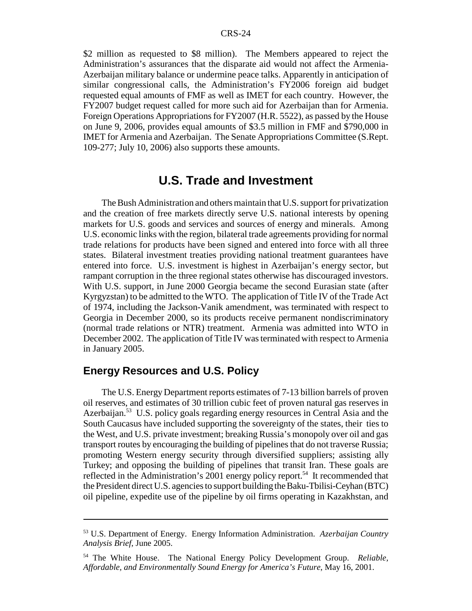\$2 million as requested to \$8 million). The Members appeared to reject the Administration's assurances that the disparate aid would not affect the Armenia-Azerbaijan military balance or undermine peace talks. Apparently in anticipation of similar congressional calls, the Administration's FY2006 foreign aid budget requested equal amounts of FMF as well as IMET for each country. However, the FY2007 budget request called for more such aid for Azerbaijan than for Armenia. Foreign Operations Appropriations for FY2007 (H.R. 5522), as passed by the House on June 9, 2006, provides equal amounts of \$3.5 million in FMF and \$790,000 in IMET for Armenia and Azerbaijan. The Senate Appropriations Committee (S.Rept. 109-277; July 10, 2006) also supports these amounts.

## **U.S. Trade and Investment**

The Bush Administration and others maintain that U.S. support for privatization and the creation of free markets directly serve U.S. national interests by opening markets for U.S. goods and services and sources of energy and minerals. Among U.S. economic links with the region, bilateral trade agreements providing for normal trade relations for products have been signed and entered into force with all three states. Bilateral investment treaties providing national treatment guarantees have entered into force. U.S. investment is highest in Azerbaijan's energy sector, but rampant corruption in the three regional states otherwise has discouraged investors. With U.S. support, in June 2000 Georgia became the second Eurasian state (after Kyrgyzstan) to be admitted to the WTO. The application of Title IV of the Trade Act of 1974, including the Jackson-Vanik amendment, was terminated with respect to Georgia in December 2000, so its products receive permanent nondiscriminatory (normal trade relations or NTR) treatment. Armenia was admitted into WTO in December 2002. The application of Title IV was terminated with respect to Armenia in January 2005.

## **Energy Resources and U.S. Policy**

The U.S. Energy Department reports estimates of 7-13 billion barrels of proven oil reserves, and estimates of 30 trillion cubic feet of proven natural gas reserves in Azerbaijan.<sup>53</sup> U.S. policy goals regarding energy resources in Central Asia and the South Caucasus have included supporting the sovereignty of the states, their ties to the West, and U.S. private investment; breaking Russia's monopoly over oil and gas transport routes by encouraging the building of pipelines that do not traverse Russia; promoting Western energy security through diversified suppliers; assisting ally Turkey; and opposing the building of pipelines that transit Iran. These goals are reflected in the Administration's 2001 energy policy report.<sup>54</sup> It recommended that the President direct U.S. agencies to support building the Baku-Tbilisi-Ceyhan (BTC) oil pipeline, expedite use of the pipeline by oil firms operating in Kazakhstan, and

<sup>53</sup> U.S. Department of Energy. Energy Information Administration. *Azerbaijan Country Analysis Brief*, June 2005.

<sup>54</sup> The White House. The National Energy Policy Development Group. *Reliable, Affordable, and Environmentally Sound Energy for America's Future*, May 16, 2001.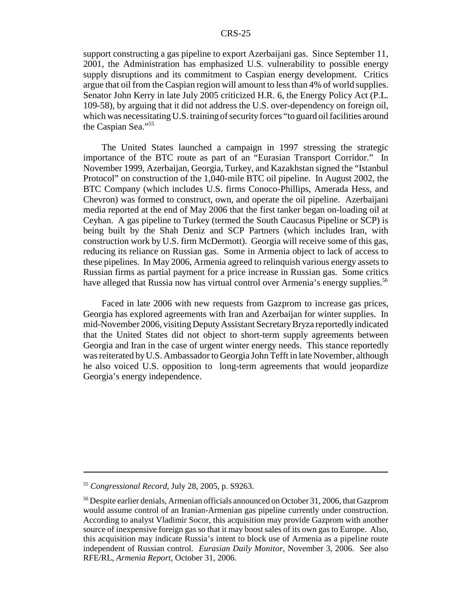support constructing a gas pipeline to export Azerbaijani gas. Since September 11, 2001, the Administration has emphasized U.S. vulnerability to possible energy supply disruptions and its commitment to Caspian energy development. Critics argue that oil from the Caspian region will amount to less than 4% of world supplies. Senator John Kerry in late July 2005 criticized H.R. 6, the Energy Policy Act (P.L. 109-58), by arguing that it did not address the U.S. over-dependency on foreign oil, which was necessitating U.S. training of security forces "to guard oil facilities around the Caspian Sea."55

The United States launched a campaign in 1997 stressing the strategic importance of the BTC route as part of an "Eurasian Transport Corridor." In November 1999, Azerbaijan, Georgia, Turkey, and Kazakhstan signed the "Istanbul Protocol" on construction of the 1,040-mile BTC oil pipeline. In August 2002, the BTC Company (which includes U.S. firms Conoco-Phillips, Amerada Hess, and Chevron) was formed to construct, own, and operate the oil pipeline. Azerbaijani media reported at the end of May 2006 that the first tanker began on-loading oil at Ceyhan. A gas pipeline to Turkey (termed the South Caucasus Pipeline or SCP) is being built by the Shah Deniz and SCP Partners (which includes Iran, with construction work by U.S. firm McDermott). Georgia will receive some of this gas, reducing its reliance on Russian gas. Some in Armenia object to lack of access to these pipelines. In May 2006, Armenia agreed to relinquish various energy assets to Russian firms as partial payment for a price increase in Russian gas. Some critics have alleged that Russia now has virtual control over Armenia's energy supplies.<sup>56</sup>

Faced in late 2006 with new requests from Gazprom to increase gas prices, Georgia has explored agreements with Iran and Azerbaijan for winter supplies. In mid-November 2006, visiting Deputy Assistant Secretary Bryza reportedly indicated that the United States did not object to short-term supply agreements between Georgia and Iran in the case of urgent winter energy needs. This stance reportedly was reiterated by U.S. Ambassador to Georgia John Tefft in late November, although he also voiced U.S. opposition to long-term agreements that would jeopardize Georgia's energy independence.

<sup>55</sup> *Congressional Record*, July 28, 2005, p. S9263.

<sup>&</sup>lt;sup>56</sup> Despite earlier denials, Armenian officials announced on October 31, 2006, that Gazprom would assume control of an Iranian-Armenian gas pipeline currently under construction. According to analyst Vladimir Socor, this acquisition may provide Gazprom with another source of inexpensive foreign gas so that it may boost sales of its own gas to Europe. Also, this acquisition may indicate Russia's intent to block use of Armenia as a pipeline route independent of Russian control. *Eurasian Daily Monitor*, November 3, 2006. See also RFE/RL, *Armenia Report*, October 31, 2006.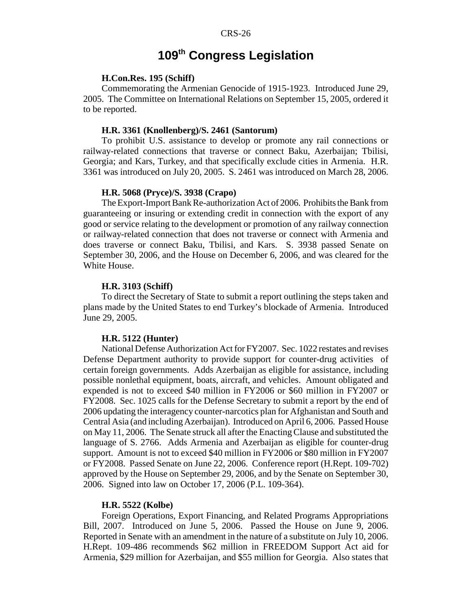## **109th Congress Legislation**

#### **H.Con.Res. 195 (Schiff)**

Commemorating the Armenian Genocide of 1915-1923. Introduced June 29, 2005. The Committee on International Relations on September 15, 2005, ordered it to be reported.

#### **H.R. 3361 (Knollenberg)/S. 2461 (Santorum)**

To prohibit U.S. assistance to develop or promote any rail connections or railway-related connections that traverse or connect Baku, Azerbaijan; Tbilisi, Georgia; and Kars, Turkey, and that specifically exclude cities in Armenia. H.R. 3361 was introduced on July 20, 2005. S. 2461 was introduced on March 28, 2006.

#### **H.R. 5068 (Pryce)/S. 3938 (Crapo)**

The Export-Import Bank Re-authorization Act of 2006. Prohibits the Bank from guaranteeing or insuring or extending credit in connection with the export of any good or service relating to the development or promotion of any railway connection or railway-related connection that does not traverse or connect with Armenia and does traverse or connect Baku, Tbilisi, and Kars. S. 3938 passed Senate on September 30, 2006, and the House on December 6, 2006, and was cleared for the White House.

#### **H.R. 3103 (Schiff)**

To direct the Secretary of State to submit a report outlining the steps taken and plans made by the United States to end Turkey's blockade of Armenia. Introduced June 29, 2005.

#### **H.R. 5122 (Hunter)**

National Defense Authorization Act for FY2007. Sec. 1022 restates and revises Defense Department authority to provide support for counter-drug activities of certain foreign governments. Adds Azerbaijan as eligible for assistance, including possible nonlethal equipment, boats, aircraft, and vehicles. Amount obligated and expended is not to exceed \$40 million in FY2006 or \$60 million in FY2007 or FY2008. Sec. 1025 calls for the Defense Secretary to submit a report by the end of 2006 updating the interagency counter-narcotics plan for Afghanistan and South and Central Asia (and including Azerbaijan). Introduced on April 6, 2006. Passed House on May 11, 2006. The Senate struck all after the Enacting Clause and substituted the language of S. 2766. Adds Armenia and Azerbaijan as eligible for counter-drug support. Amount is not to exceed \$40 million in FY2006 or \$80 million in FY2007 or FY2008. Passed Senate on June 22, 2006. Conference report (H.Rept. 109-702) approved by the House on September 29, 2006, and by the Senate on September 30, 2006. Signed into law on October 17, 2006 (P.L. 109-364).

#### **H.R. 5522 (Kolbe)**

Foreign Operations, Export Financing, and Related Programs Appropriations Bill, 2007. Introduced on June 5, 2006. Passed the House on June 9, 2006. Reported in Senate with an amendment in the nature of a substitute on July 10, 2006. H.Rept. 109-486 recommends \$62 million in FREEDOM Support Act aid for Armenia, \$29 million for Azerbaijan, and \$55 million for Georgia. Also states that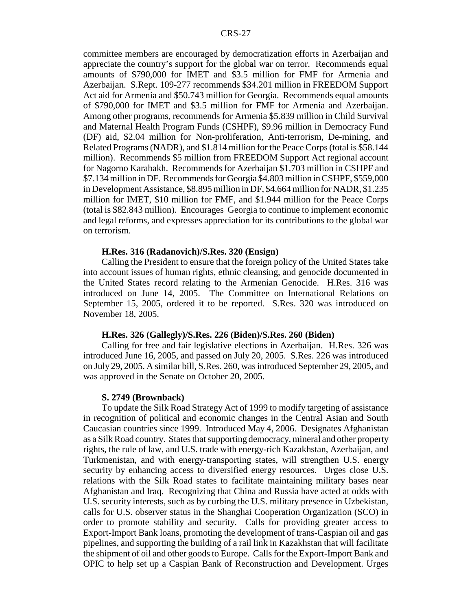committee members are encouraged by democratization efforts in Azerbaijan and appreciate the country's support for the global war on terror. Recommends equal amounts of \$790,000 for IMET and \$3.5 million for FMF for Armenia and Azerbaijan. S.Rept. 109-277 recommends \$34.201 million in FREEDOM Support Act aid for Armenia and \$50.743 million for Georgia. Recommends equal amounts of \$790,000 for IMET and \$3.5 million for FMF for Armenia and Azerbaijan. Among other programs, recommends for Armenia \$5.839 million in Child Survival and Maternal Health Program Funds (CSHPF), \$9.96 million in Democracy Fund (DF) aid, \$2.04 million for Non-proliferation, Anti-terrorism, De-mining, and Related Programs (NADR), and \$1.814 million for the Peace Corps (total is \$58.144 million). Recommends \$5 million from FREEDOM Support Act regional account for Nagorno Karabakh. Recommends for Azerbaijan \$1.703 million in CSHPF and \$7.134 million in DF. Recommends for Georgia \$4.803 million in CSHPF, \$559,000 in Development Assistance, \$8.895 million in DF, \$4.664 million for NADR, \$1.235 million for IMET, \$10 million for FMF, and \$1.944 million for the Peace Corps (total is \$82.843 million). Encourages Georgia to continue to implement economic and legal reforms, and expresses appreciation for its contributions to the global war on terrorism.

#### **H.Res. 316 (Radanovich)/S.Res. 320 (Ensign)**

Calling the President to ensure that the foreign policy of the United States take into account issues of human rights, ethnic cleansing, and genocide documented in the United States record relating to the Armenian Genocide. H.Res. 316 was introduced on June 14, 2005. The Committee on International Relations on September 15, 2005, ordered it to be reported. S.Res. 320 was introduced on November 18, 2005.

#### **H.Res. 326 (Gallegly)/S.Res. 226 (Biden)/S.Res. 260 (Biden)**

Calling for free and fair legislative elections in Azerbaijan. H.Res. 326 was introduced June 16, 2005, and passed on July 20, 2005. S.Res. 226 was introduced on July 29, 2005. A similar bill, S.Res. 260, was introduced September 29, 2005, and was approved in the Senate on October 20, 2005.

#### **S. 2749 (Brownback)**

To update the Silk Road Strategy Act of 1999 to modify targeting of assistance in recognition of political and economic changes in the Central Asian and South Caucasian countries since 1999. Introduced May 4, 2006. Designates Afghanistan as a Silk Road country. States that supporting democracy, mineral and other property rights, the rule of law, and U.S. trade with energy-rich Kazakhstan, Azerbaijan, and Turkmenistan, and with energy-transporting states, will strengthen U.S. energy security by enhancing access to diversified energy resources. Urges close U.S. relations with the Silk Road states to facilitate maintaining military bases near Afghanistan and Iraq. Recognizing that China and Russia have acted at odds with U.S. security interests, such as by curbing the U.S. military presence in Uzbekistan, calls for U.S. observer status in the Shanghai Cooperation Organization (SCO) in order to promote stability and security. Calls for providing greater access to Export-Import Bank loans, promoting the development of trans-Caspian oil and gas pipelines, and supporting the building of a rail link in Kazakhstan that will facilitate the shipment of oil and other goods to Europe. Calls for the Export-Import Bank and OPIC to help set up a Caspian Bank of Reconstruction and Development. Urges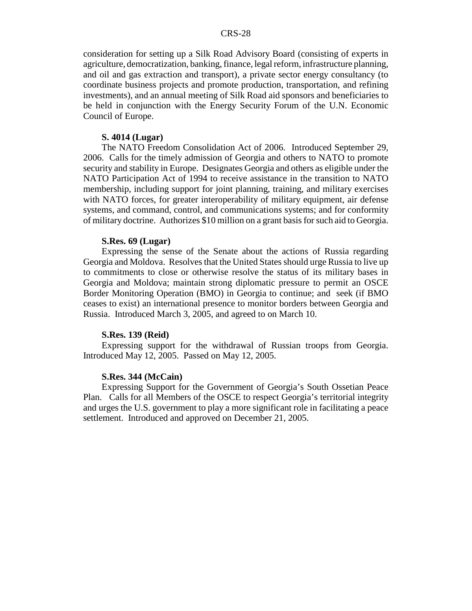consideration for setting up a Silk Road Advisory Board (consisting of experts in agriculture, democratization, banking, finance, legal reform, infrastructure planning, and oil and gas extraction and transport), a private sector energy consultancy (to coordinate business projects and promote production, transportation, and refining investments), and an annual meeting of Silk Road aid sponsors and beneficiaries to be held in conjunction with the Energy Security Forum of the U.N. Economic Council of Europe.

#### **S. 4014 (Lugar)**

The NATO Freedom Consolidation Act of 2006. Introduced September 29, 2006. Calls for the timely admission of Georgia and others to NATO to promote security and stability in Europe. Designates Georgia and others as eligible under the NATO Participation Act of 1994 to receive assistance in the transition to NATO membership, including support for joint planning, training, and military exercises with NATO forces, for greater interoperability of military equipment, air defense systems, and command, control, and communications systems; and for conformity of military doctrine. Authorizes \$10 million on a grant basis for such aid to Georgia.

#### **S.Res. 69 (Lugar)**

Expressing the sense of the Senate about the actions of Russia regarding Georgia and Moldova. Resolves that the United States should urge Russia to live up to commitments to close or otherwise resolve the status of its military bases in Georgia and Moldova; maintain strong diplomatic pressure to permit an OSCE Border Monitoring Operation (BMO) in Georgia to continue; and seek (if BMO ceases to exist) an international presence to monitor borders between Georgia and Russia. Introduced March 3, 2005, and agreed to on March 10.

#### **S.Res. 139 (Reid)**

Expressing support for the withdrawal of Russian troops from Georgia. Introduced May 12, 2005. Passed on May 12, 2005.

#### **S.Res. 344 (McCain)**

Expressing Support for the Government of Georgia's South Ossetian Peace Plan. Calls for all Members of the OSCE to respect Georgia's territorial integrity and urges the U.S. government to play a more significant role in facilitating a peace settlement. Introduced and approved on December 21, 2005.